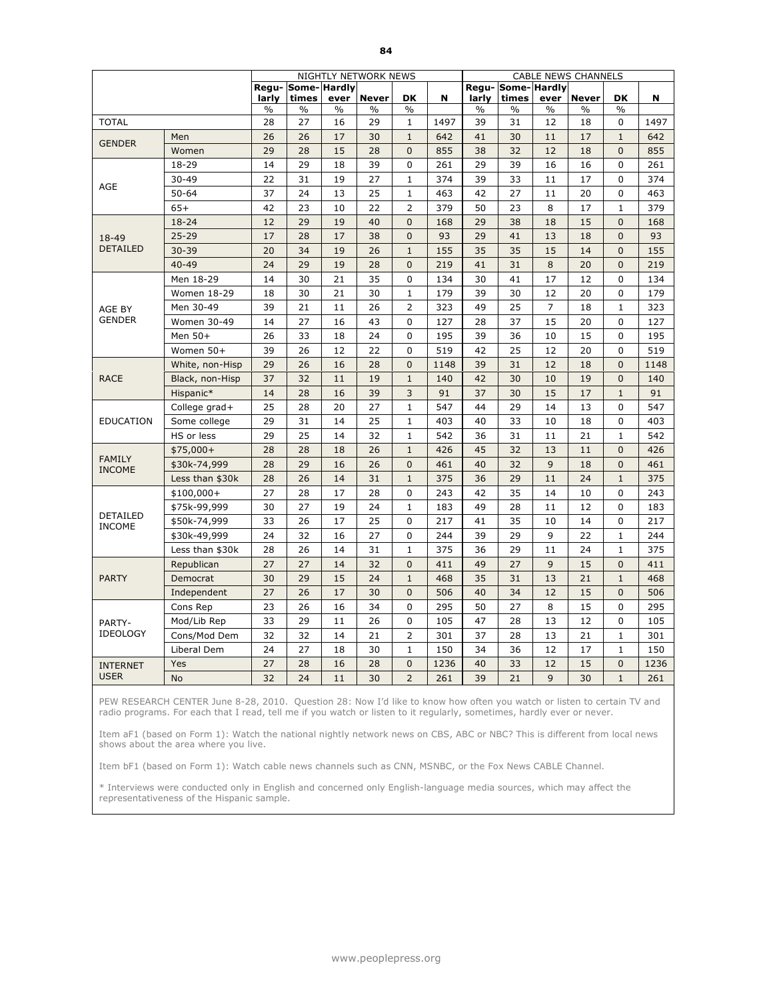|                                  |                 |                |                      |               | NIGHTLY NETWORK NEWS |                |      |               |                           |                | <b>CABLE NEWS CHANNELS</b> |                |      |
|----------------------------------|-----------------|----------------|----------------------|---------------|----------------------|----------------|------|---------------|---------------------------|----------------|----------------------------|----------------|------|
|                                  |                 | Regu-<br>larly | Some-Hardly<br>times | ever          | <b>Never</b>         | <b>DK</b>      | N    | larly         | Regu-Some-Hardly<br>times | ever           | <b>Never</b>               | <b>DK</b>      | N    |
|                                  |                 | $\%$           | $\%$                 | $\frac{0}{0}$ | %                    | $\frac{0}{0}$  |      | $\frac{0}{0}$ | $\%$                      | $\%$           | $\%$                       | $\frac{0}{0}$  |      |
| <b>TOTAL</b>                     |                 | 28             | 27                   | 16            | 29                   | $\mathbf{1}$   | 1497 | 39            | 31                        | 12             | 18                         | $\mathbf 0$    | 1497 |
| <b>GENDER</b>                    | Men             | 26             | 26                   | 17            | 30                   | $1\,$          | 642  | 41            | 30                        | 11             | 17                         | $\mathbf{1}$   | 642  |
|                                  | Women           | 29             | 28                   | 15            | 28                   | $\mathbf 0$    | 855  | 38            | 32                        | 12             | 18                         | $\overline{0}$ | 855  |
|                                  | 18-29           | 14             | 29                   | 18            | 39                   | $\Omega$       | 261  | 29            | 39                        | 16             | 16                         | $\Omega$       | 261  |
| AGE                              | $30 - 49$       | 22             | 31                   | 19            | 27                   | $\mathbf{1}$   | 374  | 39            | 33                        | 11             | 17                         | $\mathbf 0$    | 374  |
|                                  | $50 - 64$       | 37             | 24                   | 13            | 25                   | $\mathbf{1}$   | 463  | 42            | 27                        | 11             | 20                         | $\mathbf 0$    | 463  |
|                                  | $65+$           | 42             | 23                   | 10            | 22                   | $\overline{2}$ | 379  | 50            | 23                        | 8              | 17                         | $\mathbf{1}$   | 379  |
|                                  | $18 - 24$       | 12             | 29                   | 19            | 40                   | $\mathbf{0}$   | 168  | 29            | 38                        | 18             | 15                         | $\overline{0}$ | 168  |
| 18-49                            | $25 - 29$       | 17             | 28                   | 17            | 38                   | $\mathbf 0$    | 93   | 29            | 41                        | 13             | 18                         | $\overline{0}$ | 93   |
| <b>DETAILED</b>                  | $30 - 39$       | 20             | 34                   | 19            | 26                   | $\mathbf 1$    | 155  | 35            | 35                        | 15             | 14                         | $\overline{0}$ | 155  |
|                                  | $40 - 49$       | 24             | 29                   | 19            | 28                   | $\mathbf{0}$   | 219  | 41            | 31                        | 8              | 20                         | $\mathbf{0}$   | 219  |
|                                  | Men 18-29       | 14             | 30                   | 21            | 35                   | 0              | 134  | 30            | 41                        | 17             | 12                         | $\Omega$       | 134  |
|                                  | Women 18-29     | 18             | 30                   | 21            | 30                   | $\mathbf{1}$   | 179  | 39            | 30                        | 12             | 20                         | $\mathbf 0$    | 179  |
| AGE BY                           | Men 30-49       | 39             | 21                   | 11            | 26                   | $\overline{2}$ | 323  | 49            | 25                        | $\overline{7}$ | 18                         | $\mathbf{1}$   | 323  |
| <b>GENDER</b>                    | Women 30-49     | 14             | 27                   | 16            | 43                   | 0              | 127  | 28            | 37                        | 15             | 20                         | $\Omega$       | 127  |
|                                  | Men 50+         | 26             | 33                   | 18            | 24                   | 0              | 195  | 39            | 36                        | 10             | 15                         | 0              | 195  |
|                                  | Women 50+       | 39             | 26                   | 12            | 22                   | 0              | 519  | 42            | 25                        | 12             | 20                         | $\Omega$       | 519  |
|                                  | White, non-Hisp | 29             | 26                   | 16            | 28                   | $\mathbf 0$    | 1148 | 39            | 31                        | 12             | 18                         | $\overline{0}$ | 1148 |
| <b>RACE</b>                      | Black, non-Hisp | 37             | 32                   | 11            | 19                   | $\mathbf{1}$   | 140  | 42            | 30                        | 10             | 19                         | $\overline{0}$ | 140  |
|                                  | Hispanic*       | 14             | 28                   | 16            | 39                   | 3              | 91   | 37            | 30                        | 15             | 17                         | $\mathbf{1}$   | 91   |
|                                  | College grad+   | 25             | 28                   | 20            | 27                   | $\mathbf{1}$   | 547  | 44            | 29                        | 14             | 13                         | 0              | 547  |
| <b>EDUCATION</b>                 | Some college    | 29             | 31                   | 14            | 25                   | $\mathbf{1}$   | 403  | 40            | 33                        | 10             | 18                         | $\mathbf 0$    | 403  |
|                                  | HS or less      | 29             | 25                   | 14            | 32                   | $\mathbf{1}$   | 542  | 36            | 31                        | 11             | 21                         | $\mathbf{1}$   | 542  |
|                                  | $$75,000+$      | 28             | 28                   | 18            | 26                   | $\mathbf{1}$   | 426  | 45            | 32                        | 13             | 11                         | $\Omega$       | 426  |
| <b>FAMILY</b><br><b>INCOME</b>   | \$30k-74,999    | 28             | 29                   | 16            | 26                   | $\overline{0}$ | 461  | 40            | 32                        | 9              | 18                         | $\Omega$       | 461  |
|                                  | Less than \$30k | 28             | 26                   | 14            | 31                   | $1\,$          | 375  | 36            | 29                        | 11             | 24                         | $\mathbf{1}$   | 375  |
|                                  | $$100,000+$     | 27             | 28                   | 17            | 28                   | 0              | 243  | 42            | 35                        | 14             | 10                         | 0              | 243  |
|                                  | \$75k-99,999    | 30             | 27                   | 19            | 24                   | $\mathbf{1}$   | 183  | 49            | 28                        | 11             | 12                         | 0              | 183  |
| <b>DETAILED</b><br><b>INCOME</b> | \$50k-74,999    | 33             | 26                   | 17            | 25                   | 0              | 217  | 41            | 35                        | 10             | 14                         | 0              | 217  |
|                                  | \$30k-49,999    | 24             | 32                   | 16            | 27                   | 0              | 244  | 39            | 29                        | 9              | 22                         | $\mathbf{1}$   | 244  |
|                                  | Less than \$30k | 28             | 26                   | 14            | 31                   | $\mathbf 1$    | 375  | 36            | 29                        | 11             | 24                         | $\mathbf{1}$   | 375  |
|                                  | Republican      | 27             | 27                   | 14            | 32                   | $\mathbf{0}$   | 411  | 49            | 27                        | 9              | 15                         | $\mathbf{0}$   | 411  |
| <b>PARTY</b>                     | Democrat        | 30             | 29                   | 15            | 24                   | $\mathbf{1}$   | 468  | 35            | 31                        | 13             | 21                         | $\mathbf{1}$   | 468  |
|                                  | Independent     | 27             | 26                   | 17            | 30                   | $\mathbf{0}$   | 506  | 40            | 34                        | 12             | 15                         | $\mathbf{0}$   | 506  |
|                                  | Cons Rep        | 23             | 26                   | 16            | 34                   | 0              | 295  | 50            | 27                        | 8              | 15                         | $\Omega$       | 295  |
| PARTY-                           | Mod/Lib Rep     | 33             | 29                   | 11            | 26                   | 0              | 105  | 47            | 28                        | 13             | 12                         | $\mathbf 0$    | 105  |
| <b>IDEOLOGY</b>                  | Cons/Mod Dem    | 32             | 32                   | 14            | 21                   | $\overline{2}$ | 301  | 37            | 28                        | 13             | 21                         | $\mathbf{1}$   | 301  |
|                                  | Liberal Dem     | 24             | 27                   | 18            | 30                   | $\mathbf{1}$   | 150  | 34            | 36                        | 12             | 17                         | $\mathbf{1}$   | 150  |
| <b>INTERNET</b>                  | Yes             | 27             | 28                   | 16            | 28                   | $\mathbf{0}$   | 1236 | 40            | 33                        | 12             | 15                         | $\mathbf{0}$   | 1236 |
| <b>USER</b>                      | <b>No</b>       | 32             | 24                   | 11            | 30                   | $\overline{2}$ | 261  | 39            | 21                        | 9              | 30                         | $\mathbf{1}$   | 261  |

Item aF1 (based on Form 1): Watch the national nightly network news on CBS, ABC or NBC? This is different from local news shows about the area where you live.

Item bF1 (based on Form 1): Watch cable news channels such as CNN, MSNBC, or the Fox News CABLE Channel.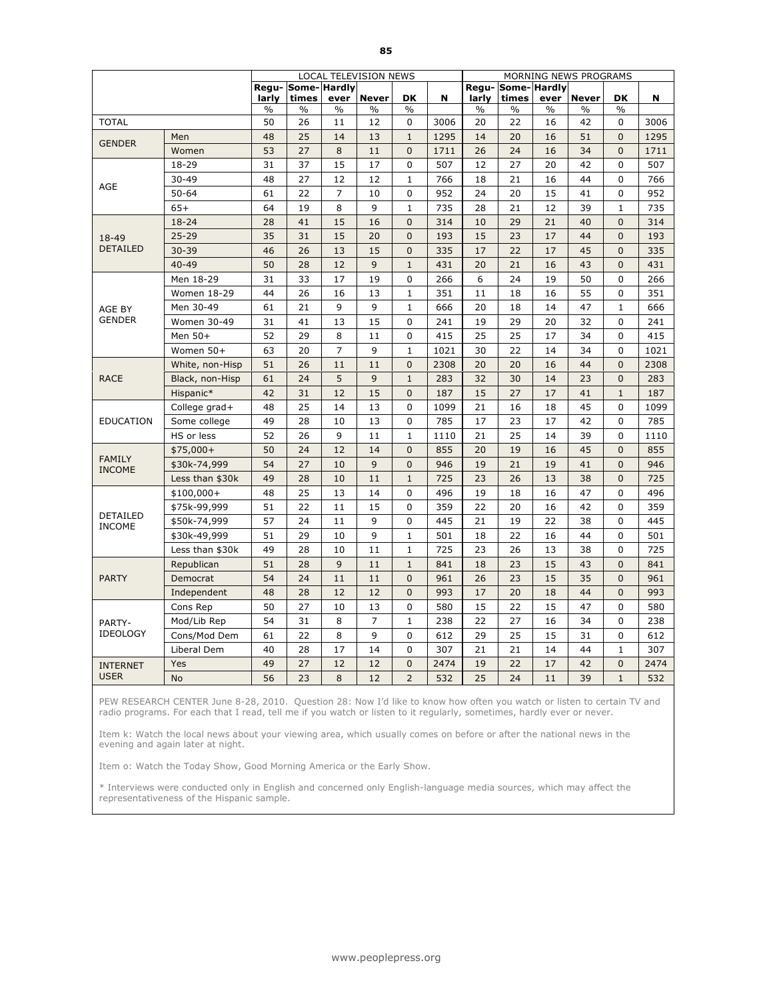|                           |                 |       |                             |                | LOCAL TELEVISION NEWS |                |      |                |                      |               | MORNING NEWS PROGRAMS |                |      |
|---------------------------|-----------------|-------|-----------------------------|----------------|-----------------------|----------------|------|----------------|----------------------|---------------|-----------------------|----------------|------|
|                           |                 | larly | Regu- Some- Hardly<br>times | ever           | <b>Never</b>          | <b>DK</b>      | N    | Regu-<br>larly | Some-Hardly<br>times | ever          | <b>Never</b>          | DK             | N    |
|                           |                 | $\%$  | $\%$                        | $\frac{0}{0}$  | $\frac{0}{0}$         | $\frac{0}{0}$  |      | $\frac{0}{0}$  | $\%$                 | $\frac{0}{0}$ | $\%$                  | $\frac{0}{0}$  |      |
| <b>TOTAL</b>              |                 | 50    | 26                          | 11             | 12                    | 0              | 3006 | 20             | 22                   | 16            | 42                    | 0              | 3006 |
| <b>GENDER</b>             | Men             | 48    | 25                          | 14             | 13                    | $1\,$          | 1295 | 14             | 20                   | 16            | 51                    | $\overline{0}$ | 1295 |
|                           | Women           | 53    | 27                          | 8              | 11                    | $\mathbf{0}$   | 1711 | 26             | 24                   | 16            | 34                    | $\mathbf{0}$   | 1711 |
|                           | 18-29           | 31    | 37                          | 15             | 17                    | 0              | 507  | 12             | 27                   | 20            | 42                    | 0              | 507  |
| AGE                       | $30 - 49$       | 48    | 27                          | 12             | 12                    | $\mathbf{1}$   | 766  | 18             | 21                   | 16            | 44                    | $\mathbf 0$    | 766  |
|                           | $50 - 64$       | 61    | 22                          | $\overline{7}$ | 10                    | 0              | 952  | 24             | 20                   | 15            | 41                    | $\mathbf 0$    | 952  |
|                           | $65+$           | 64    | 19                          | 8              | 9                     | $\mathbf{1}$   | 735  | 28             | 21                   | 12            | 39                    | $\mathbf{1}$   | 735  |
|                           | 18-24           | 28    | 41                          | 15             | 16                    | $\mathbf 0$    | 314  | 10             | 29                   | 21            | 40                    | $\overline{0}$ | 314  |
| 18-49                     | $25 - 29$       | 35    | 31                          | 15             | 20                    | $\mathbf{0}$   | 193  | 15             | 23                   | 17            | 44                    | $\mathbf{0}$   | 193  |
| <b>DETAILED</b>           | $30 - 39$       | 46    | 26                          | 13             | 15                    | $\mathbf{0}$   | 335  | 17             | 22                   | 17            | 45                    | $\mathbf{0}$   | 335  |
|                           | $40 - 49$       | 50    | 28                          | 12             | 9                     | $\mathbf{1}$   | 431  | 20             | 21                   | 16            | 43                    | $\mathbf{0}$   | 431  |
|                           | Men 18-29       | 31    | 33                          | 17             | 19                    | 0              | 266  | 6              | 24                   | 19            | 50                    | 0              | 266  |
|                           | Women 18-29     | 44    | 26                          | 16             | 13                    | $\mathbf{1}$   | 351  | 11             | 18                   | 16            | 55                    | $\mathbf 0$    | 351  |
| AGE BY                    | Men 30-49       | 61    | 21                          | 9              | 9                     | $\mathbf{1}$   | 666  | 20             | 18                   | 14            | 47                    | $\mathbf{1}$   | 666  |
| <b>GENDER</b>             | Women 30-49     | 31    | 41                          | 13             | 15                    | $\mathbf 0$    | 241  | 19             | 29                   | 20            | 32                    | $\mathbf 0$    | 241  |
|                           | Men 50+         | 52    | 29                          | 8              | 11                    | 0              | 415  | 25             | 25                   | 17            | 34                    | 0              | 415  |
|                           | Women 50+       | 63    | 20                          | $\overline{7}$ | 9                     | $\mathbf{1}$   | 1021 | 30             | 22                   | 14            | 34                    | $\mathbf 0$    | 1021 |
|                           | White, non-Hisp | 51    | 26                          | 11             | 11                    | $\mathbf{0}$   | 2308 | 20             | 20                   | 16            | 44                    | $\mathbf{0}$   | 2308 |
| <b>RACE</b>               | Black, non-Hisp | 61    | 24                          | 5              | 9                     | $\mathbf{1}$   | 283  | 32             | 30                   | 14            | 23                    | $\mathbf{0}$   | 283  |
|                           | Hispanic*       | 42    | 31                          | 12             | 15                    | $\mathbf{0}$   | 187  | 15             | 27                   | 17            | 41                    | $\mathbf{1}$   | 187  |
|                           | College grad+   | 48    | 25                          | 14             | 13                    | 0              | 1099 | 21             | 16                   | 18            | 45                    | $\Omega$       | 1099 |
| <b>EDUCATION</b>          | Some college    | 49    | 28                          | 10             | 13                    | 0              | 785  | 17             | 23                   | 17            | 42                    | $\mathbf 0$    | 785  |
|                           | HS or less      | 52    | 26                          | 9              | 11                    | $\mathbf{1}$   | 1110 | 21             | 25                   | 14            | 39                    | $\mathbf 0$    | 1110 |
| <b>FAMILY</b>             | $$75,000+$      | 50    | 24                          | 12             | 14                    | $\mathbf{0}$   | 855  | 20             | 19                   | 16            | 45                    | $\mathbf{0}$   | 855  |
| <b>INCOME</b>             | \$30k-74,999    | 54    | 27                          | 10             | 9                     | $\overline{0}$ | 946  | 19             | 21                   | 19            | 41                    | $\Omega$       | 946  |
|                           | Less than \$30k | 49    | 28                          | 10             | 11                    | $\mathbf{1}$   | 725  | 23             | 26                   | 13            | 38                    | $\overline{0}$ | 725  |
|                           | $$100,000+$     | 48    | 25                          | 13             | 14                    | 0              | 496  | 19             | 18                   | 16            | 47                    | $\Omega$       | 496  |
|                           | \$75k-99,999    | 51    | 22                          | 11             | 15                    | 0              | 359  | 22             | 20                   | 16            | 42                    | $\Omega$       | 359  |
| DETAILED<br><b>INCOME</b> | \$50k-74,999    | 57    | 24                          | 11             | 9                     | $\mathbf 0$    | 445  | 21             | 19                   | 22            | 38                    | 0              | 445  |
|                           | \$30k-49,999    | 51    | 29                          | 10             | 9                     | $\mathbf{1}$   | 501  | 18             | 22                   | 16            | 44                    | $\mathbf 0$    | 501  |
|                           | Less than \$30k | 49    | 28                          | 10             | 11                    | $\mathbf{1}$   | 725  | 23             | 26                   | 13            | 38                    | $\Omega$       | 725  |
|                           | Republican      | 51    | 28                          | 9              | 11                    | $\mathbf{1}$   | 841  | 18             | 23                   | 15            | 43                    | $\mathbf{0}$   | 841  |
| <b>PARTY</b>              | Democrat        | 54    | 24                          | 11             | 11                    | $\overline{0}$ | 961  | 26             | 23                   | 15            | 35                    | $\mathbf{0}$   | 961  |
|                           | Independent     | 48    | 28                          | 12             | 12                    | $\mathbf{0}$   | 993  | 17             | 20                   | 18            | 44                    | $\mathbf{0}$   | 993  |
|                           | Cons Rep        | 50    | 27                          | 10             | 13                    | 0              | 580  | 15             | 22                   | 15            | 47                    | $\Omega$       | 580  |
| PARTY-                    | Mod/Lib Rep     | 54    | 31                          | 8              | 7                     | $\mathbf{1}$   | 238  | 22             | 27                   | 16            | 34                    | 0              | 238  |
| <b>IDEOLOGY</b>           | Cons/Mod Dem    | 61    | 22                          | 8              | 9                     | $\mathbf 0$    | 612  | 29             | 25                   | 15            | 31                    | $\mathbf 0$    | 612  |
|                           | Liberal Dem     | 40    | 28                          | 17             | 14                    | 0              | 307  | 21             | 21                   | 14            | 44                    | $\mathbf{1}$   | 307  |
| <b>INTERNET</b>           | Yes             | 49    | 27                          | 12             | 12                    | $\mathbf{0}$   | 2474 | 19             | 22                   | 17            | 42                    | $\mathbf{0}$   | 2474 |
| <b>USER</b>               | <b>No</b>       | 56    | 23                          | 8              | 12                    | $\overline{2}$ | 532  | 25             | 24                   | 11            | 39                    | $\mathbf{1}$   | 532  |

Item k: Watch the local news about your viewing area, which usually comes on before or after the national news in the evening and again later at night.

Item o: Watch the Today Show, Good Morning America or the Early Show.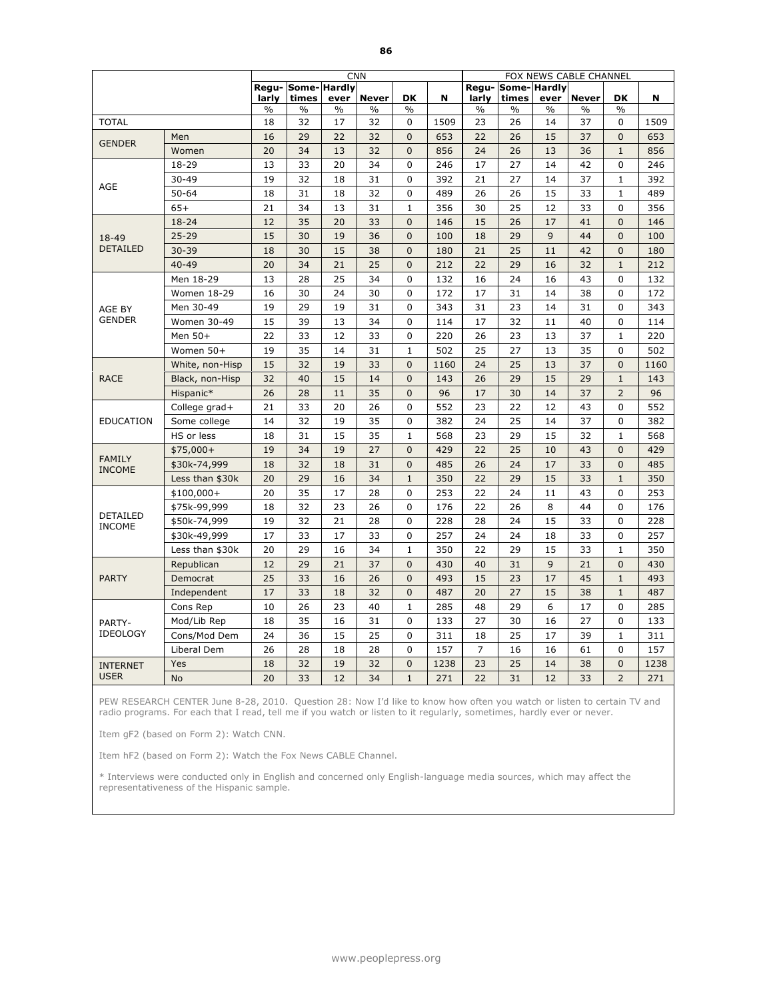|                                  |                 |               |                           |               | <b>CNN</b>   |                |      |                |                      |               | FOX NEWS CABLE CHANNEL |                |      |
|----------------------------------|-----------------|---------------|---------------------------|---------------|--------------|----------------|------|----------------|----------------------|---------------|------------------------|----------------|------|
|                                  |                 | larly         | Regu-Some-Hardly<br>times | ever          | <b>Never</b> | DK             | N    | Regu-<br>larly | Some-Hardly<br>times | ever          | <b>Never</b>           | <b>DK</b>      | N    |
|                                  |                 | $\frac{0}{0}$ | $\frac{0}{0}$             | $\frac{0}{0}$ | $\%$         | $\frac{0}{0}$  |      | $\frac{0}{0}$  | $\frac{0}{0}$        | $\frac{0}{0}$ | $\frac{0}{0}$          | $\frac{0}{0}$  |      |
| <b>TOTAL</b>                     |                 | 18            | 32                        | 17            | 32           | 0              | 1509 | 23             | 26                   | 14            | 37                     | 0              | 1509 |
| <b>GENDER</b>                    | Men             | 16            | 29                        | 22            | 32           | $\overline{0}$ | 653  | 22             | 26                   | 15            | 37                     | $\Omega$       | 653  |
|                                  | Women           | 20            | 34                        | 13            | 32           | $\mathbf 0$    | 856  | 24             | 26                   | 13            | 36                     | $\mathbf 1$    | 856  |
|                                  | 18-29           | 13            | 33                        | 20            | 34           | $\Omega$       | 246  | 17             | 27                   | 14            | 42                     | 0              | 246  |
| AGE                              | $30 - 49$       | 19            | 32                        | 18            | 31           | 0              | 392  | 21             | 27                   | 14            | 37                     | 1              | 392  |
|                                  | $50 - 64$       | 18            | 31                        | 18            | 32           | $\Omega$       | 489  | 26             | 26                   | 15            | 33                     | $\mathbf{1}$   | 489  |
|                                  | $65+$           | 21            | 34                        | 13            | 31           | $\mathbf{1}$   | 356  | 30             | 25                   | 12            | 33                     | $\mathbf 0$    | 356  |
|                                  | 18-24           | 12            | 35                        | 20            | 33           | $\mathbf 0$    | 146  | 15             | 26                   | 17            | 41                     | $\overline{0}$ | 146  |
| 18-49                            | $25 - 29$       | 15            | 30                        | 19            | 36           | $\overline{0}$ | 100  | 18             | 29                   | 9             | 44                     | $\Omega$       | 100  |
| <b>DETAILED</b>                  | $30 - 39$       | 18            | 30                        | 15            | 38           | $\Omega$       | 180  | 21             | 25                   | 11            | 42                     | $\overline{0}$ | 180  |
|                                  | $40 - 49$       | 20            | 34                        | 21            | 25           | $\mathbf 0$    | 212  | 22             | 29                   | 16            | 32                     | $\mathbf{1}$   | 212  |
|                                  | Men 18-29       | 13            | 28                        | 25            | 34           | 0              | 132  | 16             | 24                   | 16            | 43                     | $\Omega$       | 132  |
|                                  | Women 18-29     | 16            | 30                        | 24            | 30           | 0              | 172  | 17             | 31                   | 14            | 38                     | $\Omega$       | 172  |
| AGE BY                           | Men 30-49       | 19            | 29                        | 19            | 31           | $\Omega$       | 343  | 31             | 23                   | 14            | 31                     | $\mathbf{0}$   | 343  |
| <b>GENDER</b>                    | Women 30-49     | 15            | 39                        | 13            | 34           | 0              | 114  | 17             | 32                   | 11            | 40                     | $\mathbf 0$    | 114  |
|                                  | Men 50+         | 22            | 33                        | 12            | 33           | 0              | 220  | 26             | 23                   | 13            | 37                     | 1              | 220  |
|                                  | Women 50+       | 19            | 35                        | 14            | 31           | $\mathbf{1}$   | 502  | 25             | 27                   | 13            | 35                     | $\Omega$       | 502  |
|                                  | White, non-Hisp | 15            | 32                        | 19            | 33           | $\overline{0}$ | 1160 | 24             | 25                   | 13            | 37                     | $\Omega$       | 1160 |
| <b>RACE</b>                      | Black, non-Hisp | 32            | 40                        | 15            | 14           | $\mathbf 0$    | 143  | 26             | 29                   | 15            | 29                     | $\mathbf{1}$   | 143  |
|                                  | Hispanic*       | 26            | 28                        | 11            | 35           | $\mathbf 0$    | 96   | 17             | 30                   | 14            | 37                     | $\overline{2}$ | 96   |
|                                  | College grad+   | 21            | 33                        | 20            | 26           | 0              | 552  | 23             | 22                   | 12            | 43                     | $\mathbf 0$    | 552  |
| <b>EDUCATION</b>                 | Some college    | 14            | 32                        | 19            | 35           | 0              | 382  | 24             | 25                   | 14            | 37                     | 0              | 382  |
|                                  | HS or less      | 18            | 31                        | 15            | 35           | $\mathbf{1}$   | 568  | 23             | 29                   | 15            | 32                     | $\mathbf{1}$   | 568  |
|                                  | $$75,000+$      | 19            | 34                        | 19            | 27           | $\overline{0}$ | 429  | 22             | 25                   | 10            | 43                     | $\mathbf{0}$   | 429  |
| <b>FAMILY</b><br><b>INCOME</b>   | \$30k-74,999    | 18            | 32                        | 18            | 31           | $\mathbf 0$    | 485  | 26             | 24                   | 17            | 33                     | $\Omega$       | 485  |
|                                  | Less than \$30k | 20            | 29                        | 16            | 34           | $\mathbf 1$    | 350  | 22             | 29                   | 15            | 33                     | $\mathbf 1$    | 350  |
|                                  | $$100,000+$     | 20            | 35                        | 17            | 28           | 0              | 253  | 22             | 24                   | 11            | 43                     | 0              | 253  |
|                                  | \$75k-99,999    | 18            | 32                        | 23            | 26           | 0              | 176  | 22             | 26                   | 8             | 44                     | $\mathbf 0$    | 176  |
| <b>DETAILED</b><br><b>INCOME</b> | \$50k-74,999    | 19            | 32                        | 21            | 28           | 0              | 228  | 28             | 24                   | 15            | 33                     | $\Omega$       | 228  |
|                                  | \$30k-49,999    | 17            | 33                        | 17            | 33           | 0              | 257  | 24             | 24                   | 18            | 33                     | $\overline{0}$ | 257  |
|                                  | Less than \$30k | 20            | 29                        | 16            | 34           | $\mathbf{1}$   | 350  | 22             | 29                   | 15            | 33                     | $\mathbf{1}$   | 350  |
|                                  | Republican      | 12            | 29                        | 21            | 37           | $\mathbf 0$    | 430  | 40             | 31                   | 9             | 21                     | $\mathbf{0}$   | 430  |
| <b>PARTY</b>                     | Democrat        | 25            | 33                        | 16            | 26           | $\overline{0}$ | 493  | 15             | 23                   | 17            | 45                     | $\mathbf{1}$   | 493  |
|                                  | Independent     | 17            | 33                        | 18            | 32           | $\mathbf 0$    | 487  | 20             | 27                   | 15            | 38                     | $\mathbf 1$    | 487  |
|                                  | Cons Rep        | 10            | 26                        | 23            | 40           | $\mathbf{1}$   | 285  | 48             | 29                   | 6             | 17                     | 0              | 285  |
| PARTY-                           | Mod/Lib Rep     | 18            | 35                        | 16            | 31           | 0              | 133  | 27             | 30                   | 16            | 27                     | $\mathbf 0$    | 133  |
| <b>IDEOLOGY</b>                  | Cons/Mod Dem    | 24            | 36                        | 15            | 25           | $\Omega$       | 311  | 18             | 25                   | 17            | 39                     | $\mathbf{1}$   | 311  |
|                                  | Liberal Dem     | 26            | 28                        | 18            | 28           | $\mathbf{0}$   | 157  | $\overline{7}$ | 16                   | 16            | 61                     | $\Omega$       | 157  |
| <b>INTERNET</b>                  | Yes             | 18            | 32                        | 19            | 32           | $\overline{0}$ | 1238 | 23             | 25                   | 14            | 38                     | $\mathbf{0}$   | 1238 |
| <b>USER</b>                      | <b>No</b>       | 20            | 33                        | 12            | 34           | $\mathbf{1}$   | 271  | 22             | 31                   | 12            | 33                     | $\overline{2}$ | 271  |

Item gF2 (based on Form 2): Watch CNN.

Item hF2 (based on Form 2): Watch the Fox News CABLE Channel.

\* Interviews were conducted only in English and concerned only English-language media sources, which may affect the representativeness of the Hispanic sample.

www.peoplepress.org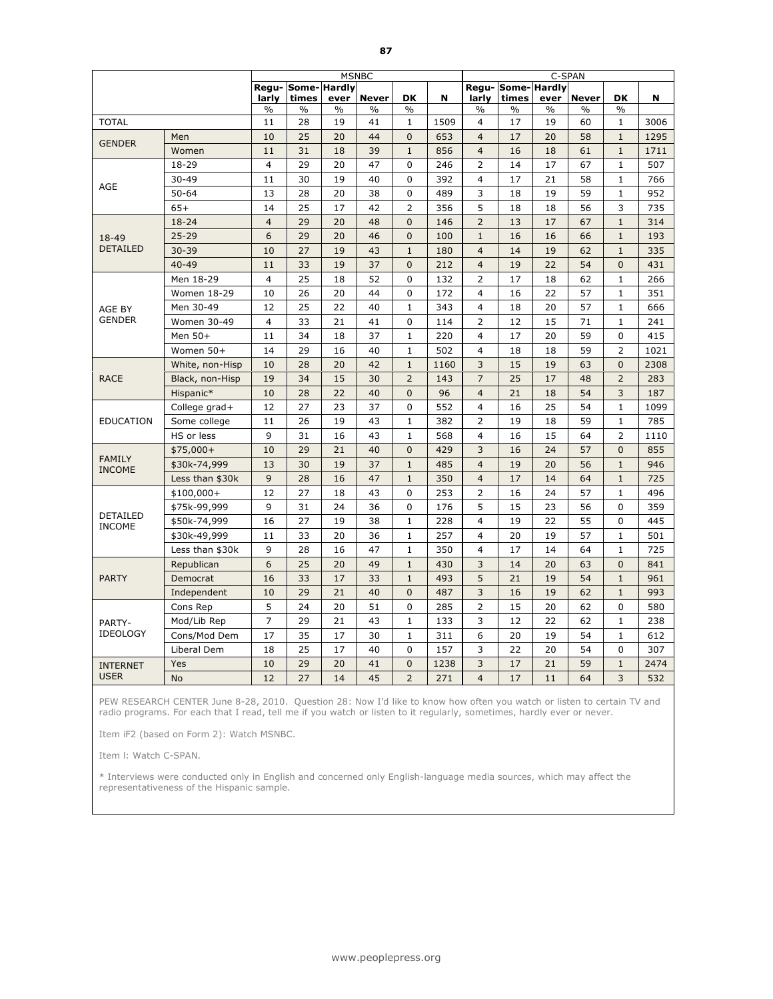|                                |                    |                |                             |               | <b>MSNBC</b> |                |      |                         |                           |               | C-SPAN        |                |      |
|--------------------------------|--------------------|----------------|-----------------------------|---------------|--------------|----------------|------|-------------------------|---------------------------|---------------|---------------|----------------|------|
|                                |                    | larly          | Regu- Some- Hardly<br>times | ever          | <b>Never</b> | DK             | N    | larly                   | Regu-Some-Hardly<br>times | ever          | <b>Never</b>  | DK             | N    |
|                                |                    | $\%$           | $\%$                        | $\frac{0}{0}$ | $\%$         | $\%$           |      | $\frac{0}{0}$           | $\frac{0}{0}$             | $\frac{0}{0}$ | $\frac{0}{0}$ | $\frac{0}{0}$  |      |
| <b>TOTAL</b>                   |                    | 11             | 28                          | 19            | 41           | 1              | 1509 | $\overline{4}$          | 17                        | 19            | 60            | 1              | 3006 |
| <b>GENDER</b>                  | Men                | 10             | 25                          | 20            | 44           | $\mathbf{0}$   | 653  | $\overline{4}$          | 17                        | 20            | 58            | $\mathbf{1}$   | 1295 |
|                                | Women              | 11             | 31                          | 18            | 39           | $\mathbf{1}$   | 856  | $\overline{4}$          | 16                        | 18            | 61            | $\mathbf{1}$   | 1711 |
|                                | 18-29              | $\overline{4}$ | 29                          | 20            | 47           | 0              | 246  | $\overline{2}$          | 14                        | 17            | 67            | $\mathbf{1}$   | 507  |
| AGE                            | 30-49              | 11             | 30                          | 19            | 40           | $\mathbf 0$    | 392  | $\overline{4}$          | 17                        | 21            | 58            | 1              | 766  |
|                                | $50 - 64$          | 13             | 28                          | 20            | 38           | $\mathbf 0$    | 489  | 3                       | 18                        | 19            | 59            | $\mathbf{1}$   | 952  |
|                                | $65+$              | 14             | 25                          | 17            | 42           | $\overline{2}$ | 356  | 5                       | 18                        | 18            | 56            | 3              | 735  |
|                                | 18-24              | $\overline{4}$ | 29                          | 20            | 48           | $\mathbf{0}$   | 146  | $\overline{2}$          | 13                        | 17            | 67            | $1\,$          | 314  |
| 18-49                          | $25 - 29$          | 6              | 29                          | 20            | 46           | $\mathbf{0}$   | 100  | $\mathbf{1}$            | 16                        | 16            | 66            | $\mathbf{1}$   | 193  |
| <b>DETAILED</b>                | $30 - 39$          | 10             | 27                          | 19            | 43           | $\mathbf 1$    | 180  | $\overline{4}$          | 14                        | 19            | 62            | $\mathbf{1}$   | 335  |
|                                | $40 - 49$          | 11             | 33                          | 19            | 37           | $\mathbf{0}$   | 212  | $\overline{4}$          | 19                        | 22            | 54            | $\overline{0}$ | 431  |
|                                | Men 18-29          | $\overline{4}$ | 25                          | 18            | 52           | $\Omega$       | 132  | $\overline{2}$          | 17                        | 18            | 62            | $\mathbf{1}$   | 266  |
|                                | <b>Women 18-29</b> | 10             | 26                          | 20            | 44           | $\mathbf 0$    | 172  | 4                       | 16                        | 22            | 57            | $\mathbf{1}$   | 351  |
| AGE BY                         | Men 30-49          | 12             | 25                          | 22            | 40           | $\mathbf{1}$   | 343  | $\overline{4}$          | 18                        | 20            | 57            | $\mathbf{1}$   | 666  |
| <b>GENDER</b>                  | Women 30-49        | $\overline{4}$ | 33                          | 21            | 41           | $\mathbf 0$    | 114  | $\overline{2}$          | 12                        | 15            | 71            | $\mathbf{1}$   | 241  |
|                                | Men 50+            | 11             | 34                          | 18            | 37           | $\mathbf{1}$   | 220  | $\overline{4}$          | 17                        | 20            | 59            | $\Omega$       | 415  |
|                                | Women 50+          | 14             | 29                          | 16            | 40           | $\mathbf{1}$   | 502  | 4                       | 18                        | 18            | 59            | $\overline{2}$ | 1021 |
|                                | White, non-Hisp    | 10             | 28                          | 20            | 42           | $\mathbf{1}$   | 1160 | 3                       | 15                        | 19            | 63            | $\Omega$       | 2308 |
| <b>RACE</b>                    | Black, non-Hisp    | 19             | 34                          | 15            | 30           | $\overline{2}$ | 143  | $\overline{7}$          | 25                        | 17            | 48            | $\overline{2}$ | 283  |
|                                | Hispanic*          | 10             | 28                          | 22            | 40           | $\mathbf{0}$   | 96   | $\overline{4}$          | 21                        | 18            | 54            | 3              | 187  |
|                                | College grad+      | 12             | 27                          | 23            | 37           | 0              | 552  | 4                       | 16                        | 25            | 54            | $\mathbf{1}$   | 1099 |
| <b>EDUCATION</b>               | Some college       | 11             | 26                          | 19            | 43           | $\mathbf{1}$   | 382  | $\overline{2}$          | 19                        | 18            | 59            | $\mathbf{1}$   | 785  |
|                                | HS or less         | 9              | 31                          | 16            | 43           | $\mathbf{1}$   | 568  | $\overline{4}$          | 16                        | 15            | 64            | $\overline{2}$ | 1110 |
|                                | $$75,000+$         | 10             | 29                          | 21            | 40           | $\mathbf 0$    | 429  | 3                       | 16                        | 24            | 57            | $\mathbf{0}$   | 855  |
| <b>FAMILY</b><br><b>INCOME</b> | \$30k-74,999       | 13             | 30                          | 19            | 37           | $\mathbf{1}$   | 485  | $\overline{4}$          | 19                        | 20            | 56            | $\mathbf{1}$   | 946  |
|                                | Less than \$30k    | 9              | 28                          | 16            | 47           | $\mathbf 1$    | 350  | $\overline{4}$          | 17                        | 14            | 64            | $\mathbf{1}$   | 725  |
|                                | $$100,000+$        | 12             | 27                          | 18            | 43           | 0              | 253  | $\overline{2}$          | 16                        | 24            | 57            | $\mathbf{1}$   | 496  |
|                                | \$75k-99,999       | 9              | 31                          | 24            | 36           | $\mathbf 0$    | 176  | 5                       | 15                        | 23            | 56            | $\mathbf 0$    | 359  |
| DETAILED<br><b>INCOME</b>      | \$50k-74,999       | 16             | 27                          | 19            | 38           | $\mathbf{1}$   | 228  | $\overline{\mathbf{4}}$ | 19                        | 22            | 55            | $\mathbf{0}$   | 445  |
|                                | \$30k-49,999       | 11             | 33                          | 20            | 36           | $\mathbf{1}$   | 257  | 4                       | 20                        | 19            | 57            | $\mathbf 1$    | 501  |
|                                | Less than \$30k    | 9              | 28                          | 16            | 47           | $\mathbf{1}$   | 350  | 4                       | 17                        | 14            | 64            | $\mathbf{1}$   | 725  |
|                                | Republican         | 6              | 25                          | 20            | 49           | $\mathbf{1}$   | 430  | 3                       | 14                        | 20            | 63            | $\Omega$       | 841  |
| <b>PARTY</b>                   | Democrat           | 16             | 33                          | 17            | 33           | $\mathbf 1$    | 493  | 5                       | 21                        | 19            | 54            | $\mathbf{1}$   | 961  |
|                                | Independent        | 10             | 29                          | 21            | 40           | $\mathbf{0}$   | 487  | 3                       | 16                        | 19            | 62            | $\mathbf{1}$   | 993  |
|                                | Cons Rep           | 5              | 24                          | 20            | 51           | $\Omega$       | 285  | $\overline{2}$          | 15                        | 20            | 62            | $\Omega$       | 580  |
| PARTY-                         | Mod/Lib Rep        | $\overline{7}$ | 29                          | 21            | 43           | $\mathbf{1}$   | 133  | 3                       | 12                        | 22            | 62            | $\mathbf{1}$   | 238  |
| <b>IDEOLOGY</b>                | Cons/Mod Dem       | 17             | 35                          | 17            | 30           | $\mathbf{1}$   | 311  | 6                       | 20                        | 19            | 54            | $\mathbf{1}$   | 612  |
|                                | Liberal Dem        | 18             | 25                          | 17            | 40           | $\mathbf{0}$   | 157  | 3                       | 22                        | 20            | 54            | $\Omega$       | 307  |
| <b>INTERNET</b>                | Yes                | 10             | 29                          | 20            | 41           | $\mathbf{0}$   | 1238 | 3                       | 17                        | 21            | 59            | $\mathbf{1}$   | 2474 |
| <b>USER</b>                    | <b>No</b>          | 12             | 27                          | 14            | 45           | $\overline{2}$ | 271  | $\overline{4}$          | 17                        | 11            | 64            | $\overline{3}$ | 532  |

Item iF2 (based on Form 2): Watch MSNBC.

Item l: Watch C-SPAN.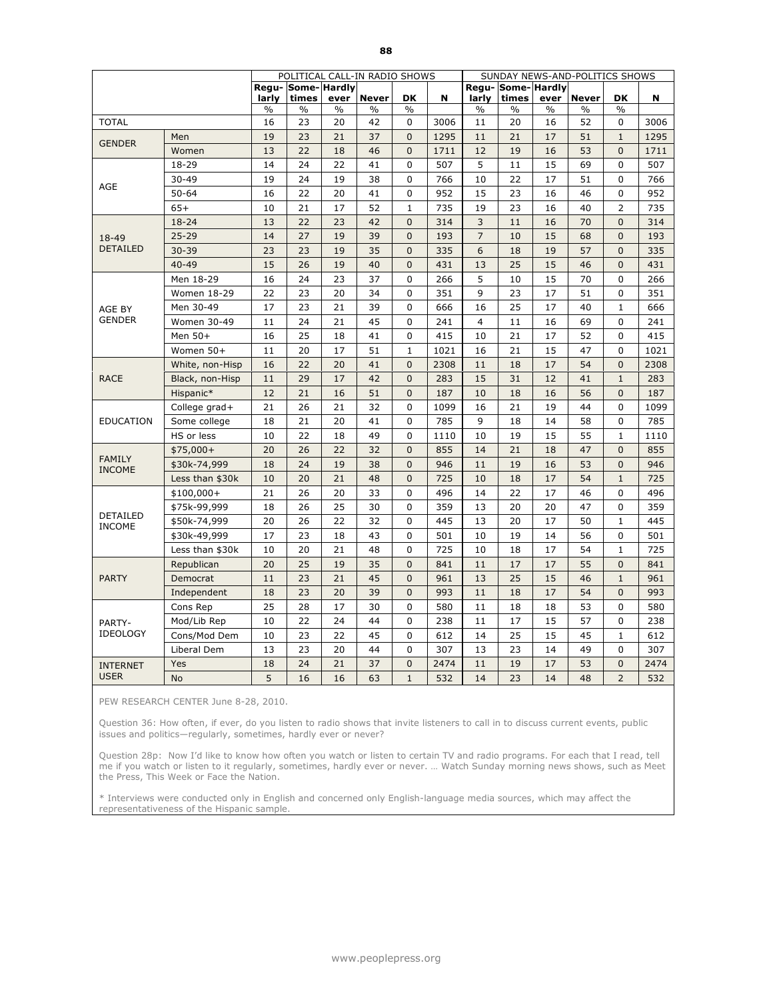|                                |                 |       |                             |      | POLITICAL CALL-IN RADIO SHOWS |                |      |                | SUNDAY NEWS-AND-POLITICS SHOWS |      |              |                |      |
|--------------------------------|-----------------|-------|-----------------------------|------|-------------------------------|----------------|------|----------------|--------------------------------|------|--------------|----------------|------|
|                                |                 | larly | Regu- Some- Hardly<br>times | ever | <b>Never</b>                  | <b>DK</b>      | N    | larly          | Regu-Some-Hardly<br>times      | ever | <b>Never</b> | <b>DK</b>      | N    |
|                                |                 | $\%$  | %                           | $\%$ | %                             | $\frac{0}{6}$  |      | $\frac{0}{6}$  | $\%$                           | $\%$ | $\%$         | $\frac{0}{6}$  |      |
| <b>TOTAL</b>                   |                 | 16    | 23                          | 20   | 42                            | 0              | 3006 | 11             | 20                             | 16   | 52           | 0              | 3006 |
| <b>GENDER</b>                  | Men             | 19    | 23                          | 21   | 37                            | $\mathbf{0}$   | 1295 | 11             | 21                             | 17   | 51           | $\mathbf{1}$   | 1295 |
|                                | Women           | 13    | 22                          | 18   | 46                            | $\mathbf{0}$   | 1711 | 12             | 19                             | 16   | 53           | $\Omega$       | 1711 |
|                                | 18-29           | 14    | 24                          | 22   | 41                            | 0              | 507  | 5              | 11                             | 15   | 69           | $\mathbf 0$    | 507  |
|                                | $30 - 49$       | 19    | 24                          | 19   | 38                            | 0              | 766  | 10             | 22                             | 17   | 51           | $\Omega$       | 766  |
| AGE                            | $50 - 64$       | 16    | 22                          | 20   | 41                            | 0              | 952  | 15             | 23                             | 16   | 46           | $\mathbf 0$    | 952  |
|                                | $65+$           | 10    | 21                          | 17   | 52                            | $\mathbf 1$    | 735  | 19             | 23                             | 16   | 40           | $\overline{2}$ | 735  |
|                                | $18 - 24$       | 13    | 22                          | 23   | 42                            | $\mathbf{0}$   | 314  | 3              | 11                             | 16   | 70           | $\mathbf{0}$   | 314  |
| 18-49                          | $25 - 29$       | 14    | 27                          | 19   | 39                            | $\overline{0}$ | 193  | $\overline{7}$ | 10                             | 15   | 68           | $\Omega$       | 193  |
| <b>DETAILED</b>                | $30 - 39$       | 23    | 23                          | 19   | 35                            | $\mathbf{0}$   | 335  | 6              | 18                             | 19   | 57           | $\Omega$       | 335  |
|                                | $40 - 49$       | 15    | 26                          | 19   | 40                            | $\overline{0}$ | 431  | 13             | 25                             | 15   | 46           | $\overline{0}$ | 431  |
|                                | Men 18-29       | 16    | 24                          | 23   | 37                            | 0              | 266  | 5              | 10                             | 15   | 70           | 0              | 266  |
|                                | Women 18-29     | 22    | 23                          | 20   | 34                            | 0              | 351  | 9              | 23                             | 17   | 51           | 0              | 351  |
| AGE BY                         | Men 30-49       | 17    | 23                          | 21   | 39                            | 0              | 666  | 16             | 25                             | 17   | 40           | $\mathbf{1}$   | 666  |
| <b>GENDER</b>                  | Women 30-49     | 11    | 24                          | 21   | 45                            | 0              | 241  | $\overline{4}$ | 11                             | 16   | 69           | $\Omega$       | 241  |
|                                | Men 50+         | 16    | 25                          | 18   | 41                            | $\mathbf{0}$   | 415  | 10             | 21                             | 17   | 52           | $\Omega$       | 415  |
|                                | Women 50+       | 11    | 20                          | 17   | 51                            | $\mathbf 1$    | 1021 | 16             | 21                             | 15   | 47           | $\mathbf 0$    | 1021 |
|                                | White, non-Hisp | 16    | 22                          | 20   | 41                            | $\overline{0}$ | 2308 | 11             | 18                             | 17   | 54           | $\mathbf{0}$   | 2308 |
| <b>RACE</b>                    | Black, non-Hisp | 11    | 29                          | 17   | 42                            | $\overline{0}$ | 283  | 15             | 31                             | 12   | 41           | $\mathbf{1}$   | 283  |
|                                | Hispanic*       | 12    | 21                          | 16   | 51                            | $\overline{0}$ | 187  | 10             | 18                             | 16   | 56           | $\mathbf{0}$   | 187  |
|                                | College grad+   | 21    | 26                          | 21   | 32                            | 0              | 1099 | 16             | 21                             | 19   | 44           | $\pmb{0}$      | 1099 |
| <b>EDUCATION</b>               | Some college    | 18    | 21                          | 20   | 41                            | 0              | 785  | 9              | 18                             | 14   | 58           | 0              | 785  |
|                                | HS or less      | 10    | 22                          | 18   | 49                            | 0              | 1110 | 10             | 19                             | 15   | 55           | $\mathbf{1}$   | 1110 |
|                                | $$75,000+$      | 20    | 26                          | 22   | 32                            | $\mathbf{0}$   | 855  | 14             | 21                             | 18   | 47           | $\mathbf{0}$   | 855  |
| <b>FAMILY</b><br><b>INCOME</b> | \$30k-74,999    | 18    | 24                          | 19   | 38                            | $\overline{0}$ | 946  | 11             | 19                             | 16   | 53           | $\mathbf{0}$   | 946  |
|                                | Less than \$30k | 10    | 20                          | 21   | 48                            | $\overline{0}$ | 725  | 10             | 18                             | 17   | 54           | $\mathbf{1}$   | 725  |
|                                | $$100,000+$     | 21    | 26                          | 20   | 33                            | 0              | 496  | 14             | 22                             | 17   | 46           | 0              | 496  |
|                                | \$75k-99,999    | 18    | 26                          | 25   | 30                            | 0              | 359  | 13             | 20                             | 20   | 47           | 0              | 359  |
| DETAILED<br><b>INCOME</b>      | \$50k-74,999    | 20    | 26                          | 22   | 32                            | 0              | 445  | 13             | 20                             | 17   | 50           | $\mathbf{1}$   | 445  |
|                                | \$30k-49,999    | 17    | 23                          | 18   | 43                            | 0              | 501  | 10             | 19                             | 14   | 56           | 0              | 501  |
|                                | Less than \$30k | 10    | 20                          | 21   | 48                            | $\Omega$       | 725  | 10             | 18                             | 17   | 54           | $\mathbf{1}$   | 725  |
|                                | Republican      | 20    | 25                          | 19   | 35                            | $\overline{0}$ | 841  | 11             | 17                             | 17   | 55           | $\mathbf{0}$   | 841  |
| <b>PARTY</b>                   | Democrat        | 11    | 23                          | 21   | 45                            | $\overline{0}$ | 961  | 13             | 25                             | 15   | 46           | $\mathbf{1}$   | 961  |
|                                | Independent     | 18    | 23                          | 20   | 39                            | $\mathbf{0}$   | 993  | 11             | 18                             | 17   | 54           | $\mathbf{0}$   | 993  |
|                                | Cons Rep        | 25    | 28                          | 17   | 30                            | 0              | 580  | 11             | 18                             | 18   | 53           | $\Omega$       | 580  |
| PARTY-                         | Mod/Lib Rep     | 10    | 22                          | 24   | 44                            | 0              | 238  | 11             | 17                             | 15   | 57           | 0              | 238  |
| <b>IDEOLOGY</b>                | Cons/Mod Dem    | 10    | 23                          | 22   | 45                            | $\Omega$       | 612  | 14             | 25                             | 15   | 45           | $\mathbf 1$    | 612  |
|                                | Liberal Dem     | 13    | 23                          | 20   | 44                            | 0              | 307  | 13             | 23                             | 14   | 49           | 0              | 307  |
| <b>INTERNET</b>                | Yes             | 18    | 24                          | 21   | 37                            | $\overline{0}$ | 2474 | 11             | 19                             | 17   | 53           | $\mathbf{0}$   | 2474 |
| <b>USER</b>                    | <b>No</b>       | 5     | 16                          | 16   | 63                            | $\mathbf{1}$   | 532  | 14             | 23                             | 14   | 48           | $\overline{2}$ | 532  |

PEW RESEARCH CENTER June 8-28, 2010.

Question 36: How often, if ever, do you listen to radio shows that invite listeners to call in to discuss current events, public issues and politics—regularly, sometimes, hardly ever or never?

Question 28p: Now I'd like to know how often you watch or listen to certain TV and radio programs. For each that I read, tell me if you watch or listen to it regularly, sometimes, hardly ever or never. … Watch Sunday morning news shows, such as Meet the Press, This Week or Face the Nation.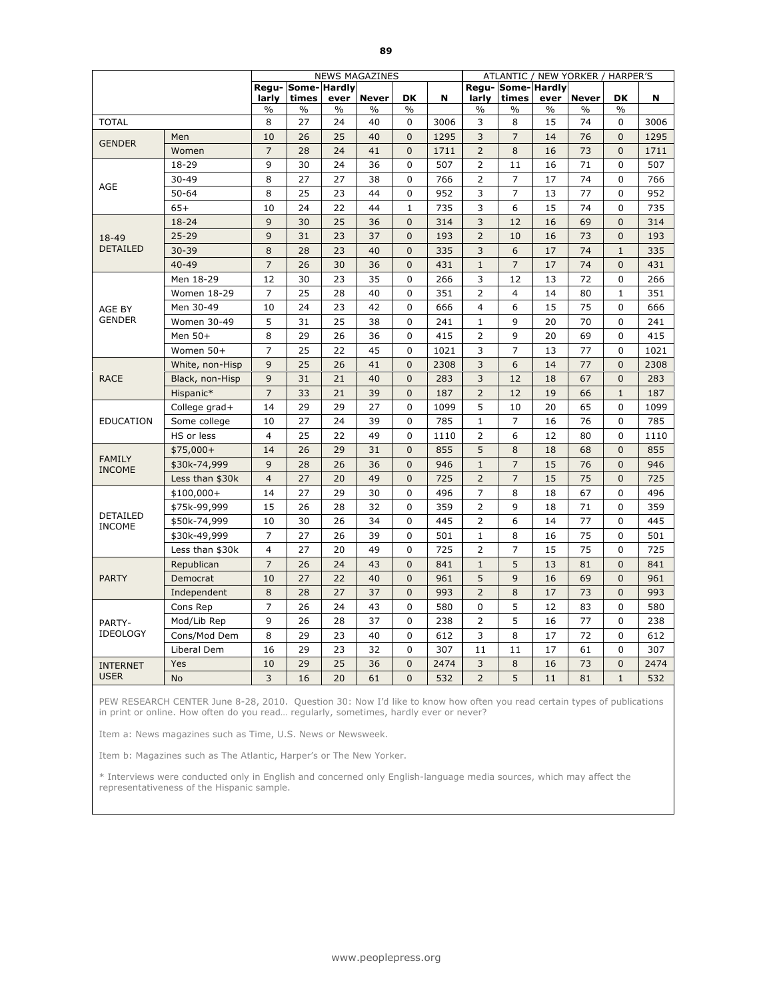|                                  |                 |                |                           |               | <b>NEWS MAGAZINES</b> |                |      |                |                           |      | ATLANTIC / NEW YORKER / HARPER'S |                |      |
|----------------------------------|-----------------|----------------|---------------------------|---------------|-----------------------|----------------|------|----------------|---------------------------|------|----------------------------------|----------------|------|
|                                  |                 | larly          | Regu-Some-Hardly<br>times | ever          | <b>Never</b>          | DK             | N    | larly          | Regu-Some-Hardly<br>times | ever | <b>Never</b>                     | <b>DK</b>      | N    |
|                                  |                 | $\%$           | $\%$                      | $\frac{0}{0}$ | %                     | $\frac{0}{0}$  |      | $\frac{0}{0}$  | %                         | $\%$ | $\%$                             | $\%$           |      |
| <b>TOTAL</b>                     |                 | 8              | 27                        | 24            | 40                    | 0              | 3006 | 3              | 8                         | 15   | 74                               | 0              | 3006 |
| <b>GENDER</b>                    | Men             | 10             | 26                        | 25            | 40                    | $\mathbf{0}$   | 1295 | 3              | $\overline{7}$            | 14   | 76                               | $\Omega$       | 1295 |
|                                  | Women           | $\overline{7}$ | 28                        | 24            | 41                    | $\overline{0}$ | 1711 | $\overline{2}$ | 8                         | 16   | 73                               | $\mathbf{0}$   | 1711 |
|                                  | 18-29           | 9              | 30                        | 24            | 36                    | $\Omega$       | 507  | $\overline{2}$ | 11                        | 16   | 71                               | $\Omega$       | 507  |
| AGE                              | $30 - 49$       | 8              | 27                        | 27            | 38                    | $\mathbf 0$    | 766  | $\overline{2}$ | $\overline{7}$            | 17   | 74                               | $\mathbf 0$    | 766  |
|                                  | $50 - 64$       | 8              | 25                        | 23            | 44                    | 0              | 952  | 3              | $\overline{7}$            | 13   | 77                               | $\mathbf 0$    | 952  |
|                                  | $65+$           | 10             | 24                        | 22            | 44                    | $\mathbf{1}$   | 735  | 3              | 6                         | 15   | 74                               | $\mathbf 0$    | 735  |
|                                  | $18 - 24$       | 9              | 30                        | 25            | 36                    | $\mathbf{0}$   | 314  | 3              | 12                        | 16   | 69                               | $\mathbf{0}$   | 314  |
| 18-49                            | $25 - 29$       | 9              | 31                        | 23            | 37                    | $\mathbf 0$    | 193  | $\overline{2}$ | 10                        | 16   | 73                               | $\overline{0}$ | 193  |
| <b>DETAILED</b>                  | $30 - 39$       | 8              | 28                        | 23            | 40                    | $\mathbf 0$    | 335  | 3              | 6                         | 17   | 74                               | $\mathbf{1}$   | 335  |
|                                  | $40 - 49$       | $\overline{7}$ | 26                        | 30            | 36                    | $\mathbf{0}$   | 431  | $\mathbf{1}$   | $\overline{7}$            | 17   | 74                               | $\mathbf{0}$   | 431  |
|                                  | Men 18-29       | 12             | 30                        | 23            | 35                    | 0              | 266  | 3              | 12                        | 13   | 72                               | $\Omega$       | 266  |
|                                  | Women 18-29     | $\overline{7}$ | 25                        | 28            | 40                    | 0              | 351  | $\overline{2}$ | 4                         | 14   | 80                               | $\mathbf{1}$   | 351  |
| AGE BY                           | Men 30-49       | 10             | 24                        | 23            | 42                    | 0              | 666  | $\overline{4}$ | 6                         | 15   | 75                               | $\mathbf{0}$   | 666  |
| <b>GENDER</b>                    | Women 30-49     | 5              | 31                        | 25            | 38                    | $\mathbf{0}$   | 241  | $\mathbf{1}$   | 9                         | 20   | 70                               | $\Omega$       | 241  |
|                                  | Men 50+         | 8              | 29                        | 26            | 36                    | 0              | 415  | 2              | 9                         | 20   | 69                               | 0              | 415  |
|                                  | Women 50+       | $\overline{7}$ | 25                        | 22            | 45                    | 0              | 1021 | 3              | $\overline{7}$            | 13   | 77                               | $\Omega$       | 1021 |
|                                  | White, non-Hisp | 9              | 25                        | 26            | 41                    | $\mathbf{0}$   | 2308 | 3              | 6                         | 14   | 77                               | $\Omega$       | 2308 |
| <b>RACE</b>                      | Black, non-Hisp | 9              | 31                        | 21            | 40                    | $\mathbf{0}$   | 283  | $\overline{3}$ | 12                        | 18   | 67                               | $\overline{0}$ | 283  |
|                                  | Hispanic*       | $\overline{7}$ | 33                        | 21            | 39                    | $\Omega$       | 187  | $\overline{2}$ | 12                        | 19   | 66                               | $\mathbf{1}$   | 187  |
|                                  | College grad+   | 14             | 29                        | 29            | 27                    | 0              | 1099 | 5              | 10                        | 20   | 65                               | $\mathbf 0$    | 1099 |
| <b>EDUCATION</b>                 | Some college    | 10             | 27                        | 24            | 39                    | 0              | 785  | $\mathbf{1}$   | $\overline{7}$            | 16   | 76                               | $\mathbf 0$    | 785  |
|                                  | HS or less      | $\overline{4}$ | 25                        | 22            | 49                    | 0              | 1110 | $\overline{2}$ | 6                         | 12   | 80                               | $\mathbf 0$    | 1110 |
|                                  | $$75,000+$      | 14             | 26                        | 29            | 31                    | $\mathbf{0}$   | 855  | 5              | 8                         | 18   | 68                               | $\Omega$       | 855  |
| <b>FAMILY</b><br><b>INCOME</b>   | \$30k-74,999    | 9              | 28                        | 26            | 36                    | $\Omega$       | 946  | $\mathbf{1}$   | $\overline{7}$            | 15   | 76                               | $\Omega$       | 946  |
|                                  | Less than \$30k | $\overline{4}$ | 27                        | 20            | 49                    | $\mathbf{0}$   | 725  | $\overline{2}$ | $\overline{7}$            | 15   | 75                               | $\mathbf{0}$   | 725  |
|                                  | $$100,000+$     | 14             | 27                        | 29            | 30                    | 0              | 496  | 7              | 8                         | 18   | 67                               | 0              | 496  |
|                                  | \$75k-99,999    | 15             | 26                        | 28            | 32                    | 0              | 359  | 2              | 9                         | 18   | 71                               | 0              | 359  |
| <b>DETAILED</b><br><b>INCOME</b> | \$50k-74,999    | 10             | 30                        | 26            | 34                    | 0              | 445  | $\overline{2}$ | 6                         | 14   | 77                               | 0              | 445  |
|                                  | \$30k-49,999    | $\overline{7}$ | 27                        | 26            | 39                    | 0              | 501  | $\mathbf{1}$   | 8                         | 16   | 75                               | $\mathbf 0$    | 501  |
|                                  | Less than \$30k | $\overline{4}$ | 27                        | 20            | 49                    | 0              | 725  | $\overline{2}$ | 7                         | 15   | 75                               | 0              | 725  |
|                                  | Republican      | $\overline{7}$ | 26                        | 24            | 43                    | $\mathbf{0}$   | 841  | $\mathbf{1}$   | 5                         | 13   | 81                               | $\mathbf{0}$   | 841  |
| <b>PARTY</b>                     | Democrat        | 10             | 27                        | 22            | 40                    | $\mathbf{0}$   | 961  | 5              | 9                         | 16   | 69                               | $\mathbf{0}$   | 961  |
|                                  | Independent     | 8              | 28                        | 27            | 37                    | $\mathbf{0}$   | 993  | $\overline{2}$ | 8                         | 17   | 73                               | $\mathbf{0}$   | 993  |
|                                  | Cons Rep        | $\overline{7}$ | 26                        | 24            | 43                    | 0              | 580  | 0              | 5                         | 12   | 83                               | $\Omega$       | 580  |
| PARTY-                           | Mod/Lib Rep     | 9              | 26                        | 28            | 37                    | 0              | 238  | 2              | 5                         | 16   | 77                               | $\Omega$       | 238  |
| <b>IDEOLOGY</b>                  | Cons/Mod Dem    | 8              | 29                        | 23            | 40                    | $\mathbf 0$    | 612  | 3              | 8                         | 17   | 72                               | $\mathbf 0$    | 612  |
|                                  | Liberal Dem     | 16             | 29                        | 23            | 32                    | 0              | 307  | 11             | 11                        | 17   | 61                               | $\mathbf 0$    | 307  |
| <b>INTERNET</b>                  | Yes             | 10             | 29                        | 25            | 36                    | $\mathbf{0}$   | 2474 | 3              | 8                         | 16   | 73                               | $\mathbf{0}$   | 2474 |
| <b>USER</b>                      | <b>No</b>       | 3              | 16                        | 20            | 61                    | $\Omega$       | 532  | $\overline{2}$ | 5                         | 11   | 81                               | $\mathbf{1}$   | 532  |

PEW RESEARCH CENTER June 8-28, 2010. Question 30: Now I'd like to know how often you read certain types of publications in print or online. How often do you read… regularly, sometimes, hardly ever or never?

Item a: News magazines such as Time, U.S. News or Newsweek.

Item b: Magazines such as The Atlantic, Harper's or The New Yorker.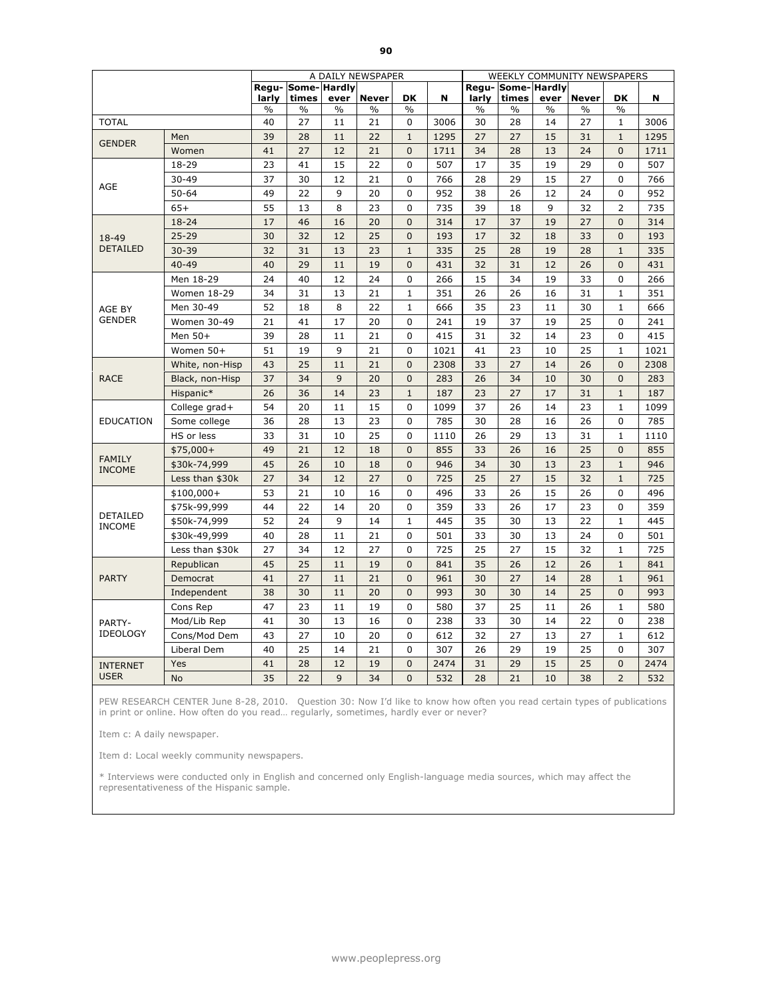|                                |                 |       |                             |               | A DAILY NEWSPAPER |                |      |       |                           |               | WEEKLY COMMUNITY NEWSPAPERS |                |      |
|--------------------------------|-----------------|-------|-----------------------------|---------------|-------------------|----------------|------|-------|---------------------------|---------------|-----------------------------|----------------|------|
|                                |                 | larly | Regu- Some- Hardly<br>times | ever          | <b>Never</b>      | <b>DK</b>      | N    | larly | Regu-Some-Hardly<br>times | ever          | <b>Never</b>                | <b>DK</b>      | N    |
|                                |                 | $\%$  | $\%$                        | $\frac{0}{0}$ | $\frac{0}{0}$     | $\frac{0}{6}$  |      | $\%$  | $\%$                      | $\frac{0}{0}$ | $\%$                        | $\%$           |      |
| <b>TOTAL</b>                   |                 | 40    | 27                          | 11            | 21                | 0              | 3006 | 30    | 28                        | 14            | 27                          | $\mathbf{1}$   | 3006 |
| <b>GENDER</b>                  | Men             | 39    | 28                          | 11            | 22                | $1\,$          | 1295 | 27    | 27                        | 15            | 31                          | $\mathbf{1}$   | 1295 |
|                                | Women           | 41    | 27                          | 12            | 21                | $\mathbf{0}$   | 1711 | 34    | 28                        | 13            | 24                          | $\mathbf{0}$   | 1711 |
|                                | 18-29           | 23    | 41                          | 15            | 22                | 0              | 507  | 17    | 35                        | 19            | 29                          | 0              | 507  |
| AGE                            | $30 - 49$       | 37    | 30                          | 12            | 21                | 0              | 766  | 28    | 29                        | 15            | 27                          | 0              | 766  |
|                                | $50 - 64$       | 49    | 22                          | 9             | 20                | 0              | 952  | 38    | 26                        | 12            | 24                          | $\mathbf 0$    | 952  |
|                                | $65+$           | 55    | 13                          | 8             | 23                | 0              | 735  | 39    | 18                        | 9             | 32                          | $\overline{2}$ | 735  |
|                                | 18-24           | 17    | 46                          | 16            | 20                | $\mathbf{0}$   | 314  | 17    | 37                        | 19            | 27                          | $\mathbf{0}$   | 314  |
| 18-49                          | $25 - 29$       | 30    | 32                          | 12            | 25                | $\mathbf{0}$   | 193  | 17    | 32                        | 18            | 33                          | $\mathbf{0}$   | 193  |
| <b>DETAILED</b>                | $30 - 39$       | 32    | 31                          | 13            | 23                | $\mathbf{1}$   | 335  | 25    | 28                        | 19            | 28                          | $\mathbf{1}$   | 335  |
|                                | $40 - 49$       | 40    | 29                          | 11            | 19                | $\mathbf{0}$   | 431  | 32    | 31                        | 12            | 26                          | $\mathbf{0}$   | 431  |
|                                | Men 18-29       | 24    | 40                          | 12            | 24                | 0              | 266  | 15    | 34                        | 19            | 33                          | 0              | 266  |
|                                | Women 18-29     | 34    | 31                          | 13            | 21                | $\mathbf{1}$   | 351  | 26    | 26                        | 16            | 31                          | $\mathbf{1}$   | 351  |
| AGE BY                         | Men 30-49       | 52    | 18                          | 8             | 22                | $\mathbf{1}$   | 666  | 35    | 23                        | 11            | 30                          | $\mathbf{1}$   | 666  |
| <b>GENDER</b>                  | Women 30-49     | 21    | 41                          | 17            | 20                | $\mathbf 0$    | 241  | 19    | 37                        | 19            | 25                          | $\mathbf 0$    | 241  |
|                                | Men 50+         | 39    | 28                          | 11            | 21                | $\mathbf 0$    | 415  | 31    | 32                        | 14            | 23                          | 0              | 415  |
|                                | Women 50+       | 51    | 19                          | 9             | 21                | $\mathbf 0$    | 1021 | 41    | 23                        | 10            | 25                          | $\mathbf{1}$   | 1021 |
|                                | White, non-Hisp | 43    | 25                          | 11            | 21                | $\mathbf{0}$   | 2308 | 33    | 27                        | 14            | 26                          | $\mathbf{0}$   | 2308 |
| <b>RACE</b>                    | Black, non-Hisp | 37    | 34                          | 9             | 20                | $\overline{0}$ | 283  | 26    | 34                        | 10            | 30                          | $\mathbf{0}$   | 283  |
|                                | Hispanic*       | 26    | 36                          | 14            | 23                | $\mathbf{1}$   | 187  | 23    | 27                        | 17            | 31                          | $\mathbf{1}$   | 187  |
|                                | College grad+   | 54    | 20                          | 11            | 15                | $\mathbf 0$    | 1099 | 37    | 26                        | 14            | 23                          | $\mathbf{1}$   | 1099 |
| <b>EDUCATION</b>               | Some college    | 36    | 28                          | 13            | 23                | 0              | 785  | 30    | 28                        | 16            | 26                          | $\mathbf 0$    | 785  |
|                                | HS or less      | 33    | 31                          | 10            | 25                | 0              | 1110 | 26    | 29                        | 13            | 31                          | $\mathbf{1}$   | 1110 |
|                                | $$75,000+$      | 49    | 21                          | 12            | 18                | $\mathbf{0}$   | 855  | 33    | 26                        | 16            | 25                          | $\overline{0}$ | 855  |
| <b>FAMILY</b><br><b>INCOME</b> | \$30k-74,999    | 45    | 26                          | 10            | 18                | $\overline{0}$ | 946  | 34    | 30                        | 13            | 23                          | $\mathbf{1}$   | 946  |
|                                | Less than \$30k | 27    | 34                          | 12            | 27                | $\overline{0}$ | 725  | 25    | 27                        | 15            | 32                          | $\mathbf{1}$   | 725  |
|                                | $$100,000+$     | 53    | 21                          | 10            | 16                | 0              | 496  | 33    | 26                        | 15            | 26                          | $\Omega$       | 496  |
|                                | \$75k-99,999    | 44    | 22                          | 14            | 20                | 0              | 359  | 33    | 26                        | 17            | 23                          | 0              | 359  |
| DETAILED<br><b>INCOME</b>      | \$50k-74,999    | 52    | 24                          | 9             | 14                | $\mathbf 1$    | 445  | 35    | 30                        | 13            | 22                          | $\mathbf{1}$   | 445  |
|                                | \$30k-49,999    | 40    | 28                          | 11            | 21                | 0              | 501  | 33    | 30                        | 13            | 24                          | 0              | 501  |
|                                | Less than \$30k | 27    | 34                          | 12            | 27                | 0              | 725  | 25    | 27                        | 15            | 32                          | $\mathbf{1}$   | 725  |
|                                | Republican      | 45    | 25                          | 11            | 19                | $\mathbf{0}$   | 841  | 35    | 26                        | 12            | 26                          | $\mathbf{1}$   | 841  |
| <b>PARTY</b>                   | Democrat        | 41    | 27                          | 11            | 21                | $\mathbf{0}$   | 961  | 30    | 27                        | 14            | 28                          | $\mathbf{1}$   | 961  |
|                                | Independent     | 38    | 30                          | 11            | 20                | $\mathbf{0}$   | 993  | 30    | 30                        | 14            | 25                          | $\mathbf{0}$   | 993  |
|                                | Cons Rep        | 47    | 23                          | 11            | 19                | $\mathbf{0}$   | 580  | 37    | 25                        | 11            | 26                          | $\mathbf{1}$   | 580  |
| PARTY-                         | Mod/Lib Rep     | 41    | 30                          | 13            | 16                | 0              | 238  | 33    | 30                        | 14            | 22                          | 0              | 238  |
| <b>IDEOLOGY</b>                | Cons/Mod Dem    | 43    | 27                          | 10            | 20                | $\mathbf 0$    | 612  | 32    | 27                        | 13            | 27                          | $\mathbf{1}$   | 612  |
|                                | Liberal Dem     | 40    | 25                          | 14            | 21                | $\mathbf 0$    | 307  | 26    | 29                        | 19            | 25                          | $\mathbf 0$    | 307  |
| <b>INTERNET</b>                | Yes             | 41    | 28                          | 12            | 19                | $\mathbf{0}$   | 2474 | 31    | 29                        | 15            | 25                          | $\mathbf{0}$   | 2474 |
| <b>USER</b>                    | <b>No</b>       | 35    | 22                          | 9             | 34                | $\Omega$       | 532  | 28    | 21                        | 10            | 38                          | $\overline{2}$ | 532  |

PEW RESEARCH CENTER June 8-28, 2010. Question 30: Now I'd like to know how often you read certain types of publications in print or online. How often do you read… regularly, sometimes, hardly ever or never?

Item c: A daily newspaper.

Item d: Local weekly community newspapers.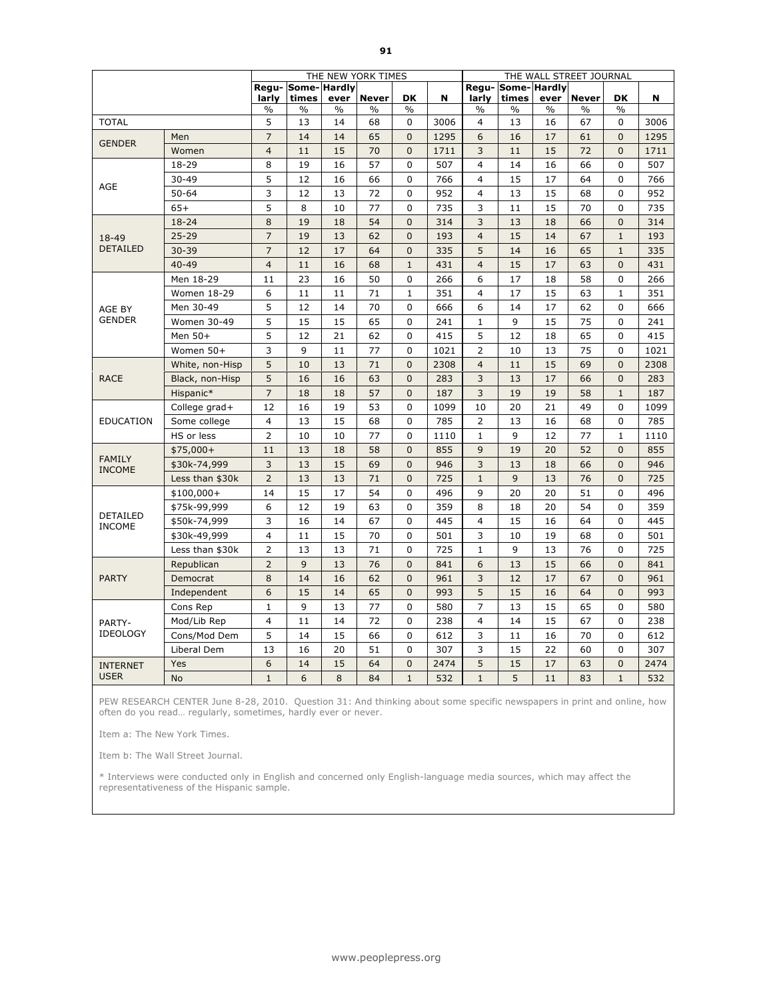|                                  |                    |                |                             |               | THE NEW YORK TIMES |                |      |                         |                      |      | THE WALL STREET JOURNAL |                |      |
|----------------------------------|--------------------|----------------|-----------------------------|---------------|--------------------|----------------|------|-------------------------|----------------------|------|-------------------------|----------------|------|
|                                  |                    | larly          | Regu- Some- Hardly<br>times | ever          | <b>Never</b>       | DK             | N    | Regu-<br>larly          | Some-Hardly<br>times | ever | <b>Never</b>            | <b>DK</b>      | N    |
|                                  |                    | $\%$           | $\%$                        | $\frac{0}{0}$ | %                  | $\frac{0}{0}$  |      | $\frac{0}{0}$           | $\%$                 | $\%$ | $\%$                    | $\frac{0}{0}$  |      |
| <b>TOTAL</b>                     |                    | 5              | 13                          | 14            | 68                 | $\mathbf 0$    | 3006 | 4                       | 13                   | 16   | 67                      | $\mathbf 0$    | 3006 |
| <b>GENDER</b>                    | Men                | $\overline{7}$ | 14                          | 14            | 65                 | $\overline{0}$ | 1295 | 6                       | 16                   | 17   | 61                      | $\Omega$       | 1295 |
|                                  | Women              | $\overline{4}$ | 11                          | 15            | 70                 | $\overline{0}$ | 1711 | 3                       | 11                   | 15   | 72                      | $\overline{0}$ | 1711 |
|                                  | 18-29              | 8              | 19                          | 16            | 57                 | $\Omega$       | 507  | $\overline{\mathbf{4}}$ | 14                   | 16   | 66                      | $\Omega$       | 507  |
| AGE                              | $30 - 49$          | 5              | 12                          | 16            | 66                 | $\mathbf 0$    | 766  | $\overline{4}$          | 15                   | 17   | 64                      | $\mathbf 0$    | 766  |
|                                  | $50 - 64$          | 3              | 12                          | 13            | 72                 | $\mathbf 0$    | 952  | $\overline{4}$          | 13                   | 15   | 68                      | $\mathbf 0$    | 952  |
|                                  | $65+$              | 5              | 8                           | 10            | 77                 | 0              | 735  | 3                       | 11                   | 15   | 70                      | $\mathbf 0$    | 735  |
|                                  | $18 - 24$          | 8              | 19                          | 18            | 54                 | $\mathbf{0}$   | 314  | 3                       | 13                   | 18   | 66                      | $\overline{0}$ | 314  |
| 18-49                            | $25 - 29$          | $\overline{7}$ | 19                          | 13            | 62                 | $\mathbf 0$    | 193  | $\overline{4}$          | 15                   | 14   | 67                      | $\mathbf{1}$   | 193  |
| <b>DETAILED</b>                  | $30 - 39$          | $\overline{7}$ | 12                          | 17            | 64                 | $\mathbf 0$    | 335  | 5                       | 14                   | 16   | 65                      | $\mathbf{1}$   | 335  |
|                                  | $40 - 49$          | $\overline{4}$ | 11                          | 16            | 68                 | $\mathbf{1}$   | 431  | $\overline{4}$          | 15                   | 17   | 63                      | $\mathbf{0}$   | 431  |
|                                  | Men 18-29          | 11             | 23                          | 16            | 50                 | 0              | 266  | 6                       | 17                   | 18   | 58                      | $\Omega$       | 266  |
|                                  | <b>Women 18-29</b> | 6              | 11                          | 11            | 71                 | $\mathbf{1}$   | 351  | 4                       | 17                   | 15   | 63                      | $\mathbf{1}$   | 351  |
| AGE BY                           | Men 30-49          | 5              | 12                          | 14            | 70                 | 0              | 666  | 6                       | 14                   | 17   | 62                      | $\overline{0}$ | 666  |
| <b>GENDER</b>                    | Women 30-49        | 5              | 15                          | 15            | 65                 | $\mathbf{0}$   | 241  | $\mathbf{1}$            | 9                    | 15   | 75                      | $\Omega$       | 241  |
|                                  | Men 50+            | 5              | 12                          | 21            | 62                 | 0              | 415  | 5                       | 12                   | 18   | 65                      | 0              | 415  |
|                                  | Women 50+          | 3              | 9                           | 11            | 77                 | 0              | 1021 | $\overline{2}$          | 10                   | 13   | 75                      | $\Omega$       | 1021 |
|                                  | White, non-Hisp    | 5              | 10                          | 13            | 71                 | $\mathbf 0$    | 2308 | $\overline{4}$          | 11                   | 15   | 69                      | $\Omega$       | 2308 |
| <b>RACE</b>                      | Black, non-Hisp    | 5              | 16                          | 16            | 63                 | $\mathbf 0$    | 283  | 3                       | 13                   | 17   | 66                      | $\overline{0}$ | 283  |
|                                  | Hispanic*          | $\overline{7}$ | 18                          | 18            | 57                 | $\Omega$       | 187  | 3                       | 19                   | 19   | 58                      | $\mathbf{1}$   | 187  |
|                                  | College grad+      | 12             | 16                          | 19            | 53                 | 0              | 1099 | 10                      | 20                   | 21   | 49                      | $\mathbf 0$    | 1099 |
| <b>EDUCATION</b>                 | Some college       | 4              | 13                          | 15            | 68                 | 0              | 785  | 2                       | 13                   | 16   | 68                      | $\mathbf 0$    | 785  |
|                                  | HS or less         | $\overline{2}$ | 10                          | 10            | 77                 | 0              | 1110 | $\mathbf{1}$            | 9                    | 12   | 77                      | $\mathbf{1}$   | 1110 |
|                                  | $$75,000+$         | 11             | 13                          | 18            | 58                 | $\mathbf{0}$   | 855  | 9                       | 19                   | 20   | 52                      | $\Omega$       | 855  |
| <b>FAMILY</b><br><b>INCOME</b>   | \$30k-74,999       | 3              | 13                          | 15            | 69                 | $\Omega$       | 946  | 3                       | 13                   | 18   | 66                      | $\Omega$       | 946  |
|                                  | Less than \$30k    | $\overline{2}$ | 13                          | 13            | 71                 | $\mathbf{0}$   | 725  | $\mathbf{1}$            | 9                    | 13   | 76                      | $\overline{0}$ | 725  |
|                                  | $$100,000+$        | 14             | 15                          | 17            | 54                 | 0              | 496  | 9                       | 20                   | 20   | 51                      | 0              | 496  |
|                                  | \$75k-99,999       | 6              | 12                          | 19            | 63                 | 0              | 359  | 8                       | 18                   | 20   | 54                      | 0              | 359  |
| <b>DETAILED</b><br><b>INCOME</b> | \$50k-74,999       | 3              | 16                          | 14            | 67                 | 0              | 445  | 4                       | 15                   | 16   | 64                      | $\Omega$       | 445  |
|                                  | \$30k-49,999       | $\overline{4}$ | 11                          | 15            | 70                 | 0              | 501  | 3                       | 10                   | 19   | 68                      | $\mathbf 0$    | 501  |
|                                  | Less than \$30k    | $\overline{2}$ | 13                          | 13            | 71                 | 0              | 725  | $\mathbf{1}$            | 9                    | 13   | 76                      | 0              | 725  |
|                                  | Republican         | $\overline{2}$ | 9                           | 13            | 76                 | $\mathbf 0$    | 841  | 6                       | 13                   | 15   | 66                      | $\mathbf{0}$   | 841  |
| <b>PARTY</b>                     | Democrat           | 8              | 14                          | 16            | 62                 | $\mathbf{0}$   | 961  | 3                       | 12                   | 17   | 67                      | $\mathbf{0}$   | 961  |
|                                  | Independent        | 6              | 15                          | 14            | 65                 | $\mathbf{0}$   | 993  | 5                       | 15                   | 16   | 64                      | $\mathbf{0}$   | 993  |
|                                  | Cons Rep           | $\mathbf{1}$   | 9                           | 13            | 77                 | 0              | 580  | $\overline{7}$          | 13                   | 15   | 65                      | $\Omega$       | 580  |
| PARTY-                           | Mod/Lib Rep        | $\overline{4}$ | 11                          | 14            | 72                 | 0              | 238  | 4                       | 14                   | 15   | 67                      | $\Omega$       | 238  |
| <b>IDEOLOGY</b>                  | Cons/Mod Dem       | 5              | 14                          | 15            | 66                 | $\pmb{0}$      | 612  | 3                       | 11                   | 16   | 70                      | $\mathbf 0$    | 612  |
|                                  | Liberal Dem        | 13             | 16                          | 20            | 51                 | 0              | 307  | 3                       | 15                   | 22   | 60                      | $\mathbf 0$    | 307  |
| <b>INTERNET</b>                  | Yes                | 6              | 14                          | 15            | 64                 | $\mathbf{0}$   | 2474 | 5                       | 15                   | 17   | 63                      | $\mathbf{0}$   | 2474 |
| <b>USER</b>                      | <b>No</b>          | $\mathbf{1}$   | 6                           | 8             | 84                 | $\mathbf{1}$   | 532  | $\mathbf{1}$            | 5                    | 11   | 83                      | $\mathbf{1}$   | 532  |

PEW RESEARCH CENTER June 8-28, 2010. Question 31: And thinking about some specific newspapers in print and online, how often do you read… regularly, sometimes, hardly ever or never.

Item a: The New York Times.

Item b: The Wall Street Journal.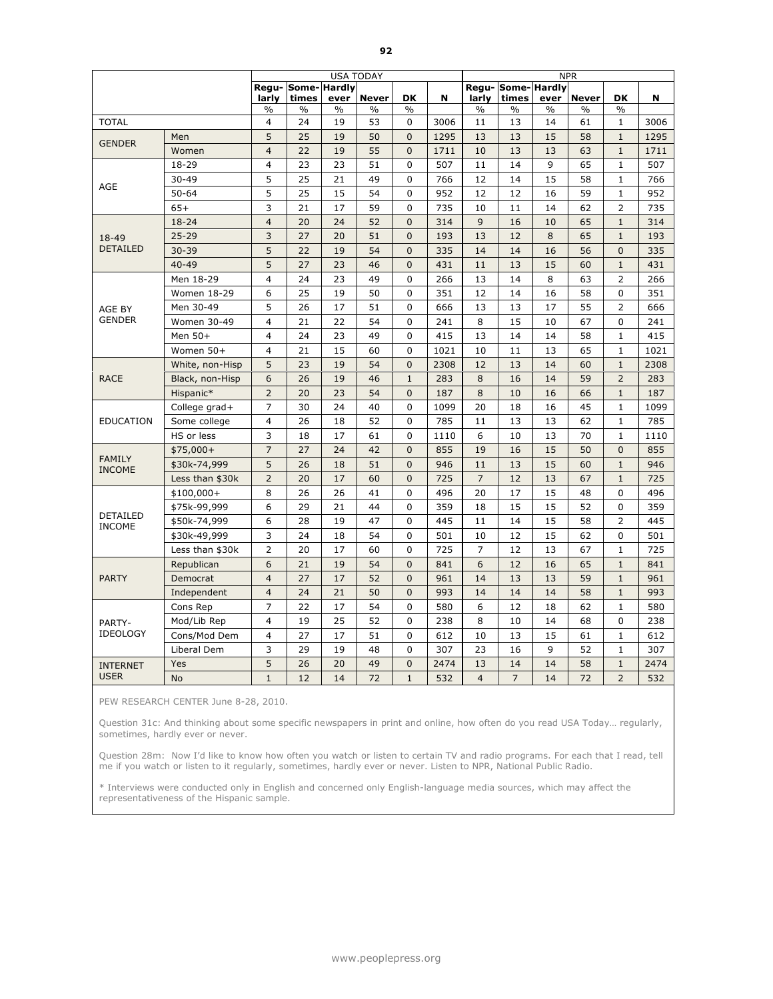|                                |                 |                |                           |               | <b>USA TODAY</b> |                |      |                |                           |               | <b>NPR</b>   |                |      |
|--------------------------------|-----------------|----------------|---------------------------|---------------|------------------|----------------|------|----------------|---------------------------|---------------|--------------|----------------|------|
|                                |                 | larly          | Regu-Some-Hardly<br>times | ever          | <b>Never</b>     | <b>DK</b>      | N    | larly          | Regu-Some-Hardly<br>times | ever          | <b>Never</b> | <b>DK</b>      | N    |
|                                |                 | $\frac{0}{0}$  | $\frac{0}{0}$             | $\frac{0}{0}$ | $\%$             | $\frac{0}{0}$  |      | $\frac{0}{0}$  | $\%$                      | $\frac{0}{0}$ | $\%$         | $\frac{0}{0}$  |      |
| <b>TOTAL</b>                   |                 | 4              | 24                        | 19            | 53               | 0              | 3006 | 11             | 13                        | 14            | 61           | 1              | 3006 |
| <b>GENDER</b>                  | Men             | 5              | 25                        | 19            | 50               | $\mathbf{0}$   | 1295 | 13             | 13                        | 15            | 58           | $\mathbf{1}$   | 1295 |
|                                | Women           | $\overline{4}$ | 22                        | 19            | 55               | $\overline{0}$ | 1711 | 10             | 13                        | 13            | 63           | $\mathbf{1}$   | 1711 |
|                                | 18-29           | $\overline{4}$ | 23                        | 23            | 51               | $\Omega$       | 507  | 11             | 14                        | 9             | 65           | $\mathbf{1}$   | 507  |
| AGE                            | $30 - 49$       | 5              | 25                        | 21            | 49               | 0              | 766  | 12             | 14                        | 15            | 58           | $\mathbf{1}$   | 766  |
|                                | $50 - 64$       | 5              | 25                        | 15            | 54               | $\mathbf{0}$   | 952  | 12             | 12                        | 16            | 59           | $\mathbf{1}$   | 952  |
|                                | $65+$           | 3              | 21                        | 17            | 59               | 0              | 735  | 10             | 11                        | 14            | 62           | $\overline{2}$ | 735  |
|                                | $18 - 24$       | $\overline{4}$ | 20                        | 24            | 52               | $\mathbf 0$    | 314  | 9              | 16                        | 10            | 65           | $\mathbf{1}$   | 314  |
| 18-49                          | $25 - 29$       | 3              | 27                        | 20            | 51               | $\mathbf{0}$   | 193  | 13             | 12                        | 8             | 65           | $\mathbf{1}$   | 193  |
| <b>DETAILED</b>                | $30 - 39$       | 5              | 22                        | 19            | 54               | $\mathbf{0}$   | 335  | 14             | 14                        | 16            | 56           | $\Omega$       | 335  |
|                                | $40 - 49$       | 5              | 27                        | 23            | 46               | $\mathbf{0}$   | 431  | 11             | 13                        | 15            | 60           | $\mathbf{1}$   | 431  |
|                                | Men 18-29       | 4              | 24                        | 23            | 49               | 0              | 266  | 13             | 14                        | 8             | 63           | $\overline{2}$ | 266  |
|                                | Women 18-29     | 6              | 25                        | 19            | 50               | 0              | 351  | 12             | 14                        | 16            | 58           | $\mathbf 0$    | 351  |
| AGE BY                         | Men 30-49       | 5              | 26                        | 17            | 51               | 0              | 666  | 13             | 13                        | 17            | 55           | $\overline{2}$ | 666  |
| <b>GENDER</b>                  | Women 30-49     | $\overline{4}$ | 21                        | 22            | 54               | $\mathbf 0$    | 241  | 8              | 15                        | 10            | 67           | $\mathbf 0$    | 241  |
|                                | Men 50+         | $\overline{4}$ | 24                        | 23            | 49               | 0              | 415  | 13             | 14                        | 14            | 58           | $\mathbf{1}$   | 415  |
|                                | Women 50+       | $\overline{4}$ | 21                        | 15            | 60               | 0              | 1021 | 10             | 11                        | 13            | 65           | $\mathbf{1}$   | 1021 |
|                                | White, non-Hisp | 5              | 23                        | 19            | 54               | $\Omega$       | 2308 | 12             | 13                        | 14            | 60           | $\mathbf{1}$   | 2308 |
| <b>RACE</b>                    | Black, non-Hisp | 6              | 26                        | 19            | 46               | $\mathbf 1$    | 283  | 8              | 16                        | 14            | 59           | $\overline{2}$ | 283  |
|                                | Hispanic*       | $\overline{2}$ | 20                        | 23            | 54               | $\mathbf{0}$   | 187  | 8              | 10                        | 16            | 66           | $\mathbf{1}$   | 187  |
|                                | College grad+   | $\overline{7}$ | 30                        | 24            | 40               | $\mathbf 0$    | 1099 | 20             | 18                        | 16            | 45           | $\mathbf{1}$   | 1099 |
| <b>EDUCATION</b>               | Some college    | $\overline{4}$ | 26                        | 18            | 52               | 0              | 785  | 11             | 13                        | 13            | 62           | $\mathbf{1}$   | 785  |
|                                | HS or less      | 3              | 18                        | 17            | 61               | 0              | 1110 | 6              | 10                        | 13            | 70           | $\mathbf{1}$   | 1110 |
|                                | $$75,000+$      | $\overline{7}$ | 27                        | 24            | 42               | $\mathbf{0}$   | 855  | 19             | 16                        | 15            | 50           | $\mathbf{0}$   | 855  |
| <b>FAMILY</b><br><b>INCOME</b> | \$30k-74,999    | 5              | 26                        | 18            | 51               | $\mathbf{0}$   | 946  | 11             | 13                        | 15            | 60           | $\mathbf{1}$   | 946  |
|                                | Less than \$30k | $\overline{2}$ | 20                        | 17            | 60               | $\overline{0}$ | 725  | $\overline{7}$ | 12                        | 13            | 67           | $\mathbf{1}$   | 725  |
|                                | $$100,000+$     | 8              | 26                        | 26            | 41               | 0              | 496  | 20             | 17                        | 15            | 48           | 0              | 496  |
|                                | \$75k-99,999    | 6              | 29                        | 21            | 44               | 0              | 359  | 18             | 15                        | 15            | 52           | 0              | 359  |
| DETAILED<br><b>INCOME</b>      | \$50k-74,999    | 6              | 28                        | 19            | 47               | $\Omega$       | 445  | 11             | 14                        | 15            | 58           | $\overline{2}$ | 445  |
|                                | \$30k-49,999    | 3              | 24                        | 18            | 54               | $\pmb{0}$      | 501  | 10             | 12                        | 15            | 62           | $\Omega$       | 501  |
|                                | Less than \$30k | $\overline{2}$ | 20                        | 17            | 60               | 0              | 725  | $\overline{7}$ | 12                        | 13            | 67           | $\mathbf{1}$   | 725  |
|                                | Republican      | 6              | 21                        | 19            | 54               | $\mathbf{0}$   | 841  | 6              | 12                        | 16            | 65           | $\mathbf{1}$   | 841  |
| <b>PARTY</b>                   | Democrat        | $\overline{4}$ | 27                        | 17            | 52               | $\Omega$       | 961  | 14             | 13                        | 13            | 59           | $\mathbf{1}$   | 961  |
|                                | Independent     | $\overline{4}$ | 24                        | 21            | 50               | $\mathbf 0$    | 993  | 14             | 14                        | 14            | 58           | $\mathbf 1$    | 993  |
|                                | Cons Rep        | $\overline{7}$ | 22                        | 17            | 54               | 0              | 580  | 6              | 12                        | 18            | 62           | 1              | 580  |
| PARTY-                         | Mod/Lib Rep     | $\overline{4}$ | 19                        | 25            | 52               | 0              | 238  | 8              | 10                        | 14            | 68           | $\mathbf 0$    | 238  |
| <b>IDEOLOGY</b>                | Cons/Mod Dem    | $\overline{4}$ | 27                        | 17            | 51               | 0              | 612  | 10             | 13                        | 15            | 61           | $\mathbf{1}$   | 612  |
|                                | Liberal Dem     | 3              | 29                        | 19            | 48               | $\mathbf{0}$   | 307  | 23             | 16                        | 9             | 52           | $\mathbf{1}$   | 307  |
| <b>INTERNET</b>                | Yes             | 5              | 26                        | 20            | 49               | $\mathbf{0}$   | 2474 | 13             | 14                        | 14            | 58           | $\mathbf{1}$   | 2474 |
| <b>USER</b>                    | <b>No</b>       | $\mathbf{1}$   | 12                        | 14            | 72               | $\mathbf{1}$   | 532  | $\overline{4}$ | $\overline{7}$            | 14            | 72           | $\overline{2}$ | 532  |

PEW RESEARCH CENTER June 8-28, 2010.

Question 31c: And thinking about some specific newspapers in print and online, how often do you read USA Today… regularly, sometimes, hardly ever or never.

Question 28m: Now I'd like to know how often you watch or listen to certain TV and radio programs. For each that I read, tell me if you watch or listen to it regularly, sometimes, hardly ever or never. Listen to NPR, National Public Radio.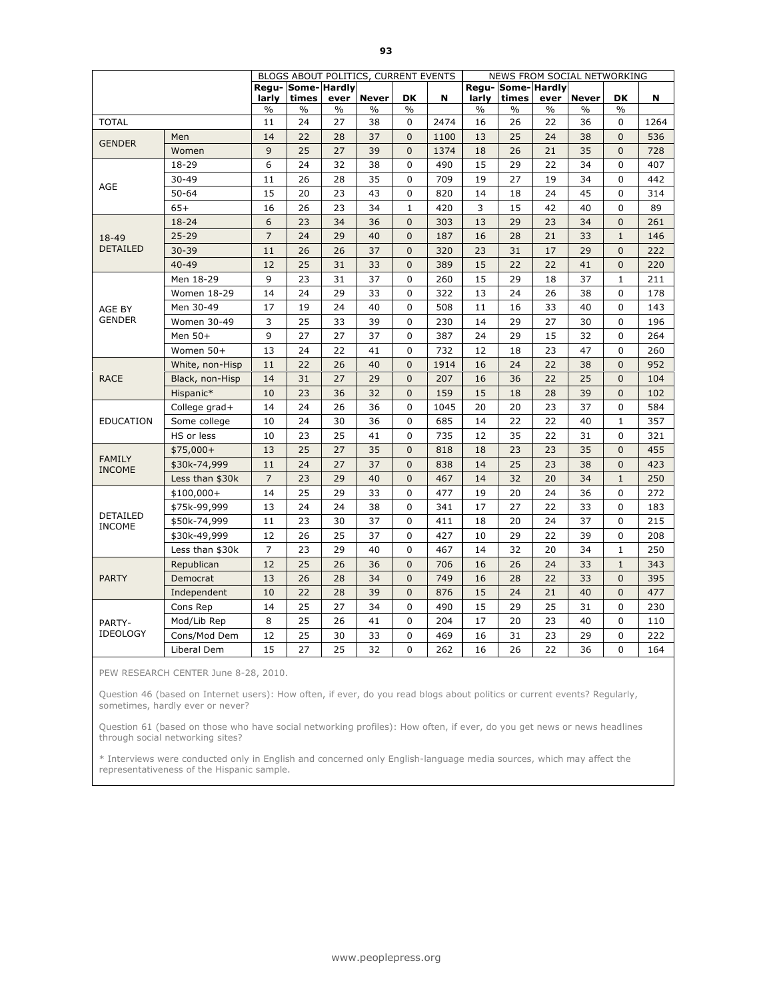|                                |                 |                |                             |               | BLOGS ABOUT POLITICS, CURRENT EVENTS |                |      |               |                           |               | NEWS FROM SOCIAL NETWORKING |                |      |
|--------------------------------|-----------------|----------------|-----------------------------|---------------|--------------------------------------|----------------|------|---------------|---------------------------|---------------|-----------------------------|----------------|------|
|                                |                 | larly          | Regu- Some- Hardly<br>times | ever          | <b>Never</b>                         | <b>DK</b>      | N    | larly         | Regu-Some-Hardly<br>times | ever          | <b>Never</b>                | <b>DK</b>      | N    |
|                                |                 | $\frac{0}{0}$  | $\%$                        | $\frac{0}{0}$ | $\frac{0}{0}$                        | $\frac{0}{0}$  |      | $\frac{0}{0}$ | $\frac{0}{0}$             | $\frac{0}{0}$ | $\%$                        | $\frac{0}{0}$  |      |
| <b>TOTAL</b>                   |                 | 11             | 24                          | 27            | 38                                   | 0              | 2474 | 16            | 26                        | 22            | 36                          | 0              | 1264 |
| <b>GENDER</b>                  | Men             | 14             | 22                          | 28            | 37                                   | $\mathbf{0}$   | 1100 | 13            | 25                        | 24            | 38                          | $\overline{0}$ | 536  |
|                                | Women           | 9              | 25                          | 27            | 39                                   | $\overline{0}$ | 1374 | 18            | 26                        | 21            | 35                          | $\overline{0}$ | 728  |
|                                | 18-29           | 6              | 24                          | 32            | 38                                   | 0              | 490  | 15            | 29                        | 22            | 34                          | $\mathbf 0$    | 407  |
| AGE                            | $30 - 49$       | 11             | 26                          | 28            | 35                                   | 0              | 709  | 19            | 27                        | 19            | 34                          | 0              | 442  |
|                                | $50 - 64$       | 15             | 20                          | 23            | 43                                   | 0              | 820  | 14            | 18                        | 24            | 45                          | 0              | 314  |
|                                | $65+$           | 16             | 26                          | 23            | 34                                   | $\mathbf{1}$   | 420  | 3             | 15                        | 42            | 40                          | $\Omega$       | 89   |
|                                | $18 - 24$       | 6              | 23                          | 34            | 36                                   | $\mathbf{0}$   | 303  | 13            | 29                        | 23            | 34                          | $\Omega$       | 261  |
| 18-49                          | $25 - 29$       | $\overline{7}$ | 24                          | 29            | 40                                   | $\overline{0}$ | 187  | 16            | 28                        | 21            | 33                          | $\mathbf{1}$   | 146  |
| <b>DETAILED</b>                | $30 - 39$       | 11             | 26                          | 26            | 37                                   | $\mathbf 0$    | 320  | 23            | 31                        | 17            | 29                          | $\mathbf{0}$   | 222  |
|                                | $40 - 49$       | 12             | 25                          | 31            | 33                                   | $\mathbf{0}$   | 389  | 15            | 22                        | 22            | 41                          | $\mathbf{0}$   | 220  |
|                                | Men 18-29       | 9              | 23                          | 31            | 37                                   | 0              | 260  | 15            | 29                        | 18            | 37                          | $\mathbf{1}$   | 211  |
|                                | Women 18-29     | 14             | 24                          | 29            | 33                                   | 0              | 322  | 13            | 24                        | 26            | 38                          | 0              | 178  |
| AGE BY                         | Men 30-49       | 17             | 19                          | 24            | 40                                   | 0              | 508  | 11            | 16                        | 33            | 40                          | 0              | 143  |
| <b>GENDER</b>                  | Women 30-49     | 3              | 25                          | 33            | 39                                   | 0              | 230  | 14            | 29                        | 27            | 30                          | 0              | 196  |
|                                | Men 50+         | 9              | 27                          | 27            | 37                                   | $\mathbf 0$    | 387  | 24            | 29                        | 15            | 32                          | 0              | 264  |
|                                | Women 50+       | 13             | 24                          | 22            | 41                                   | 0              | 732  | 12            | 18                        | 23            | 47                          | 0              | 260  |
|                                | White, non-Hisp | 11             | 22                          | 26            | 40                                   | $\mathbf{0}$   | 1914 | 16            | 24                        | 22            | 38                          | $\mathbf{0}$   | 952  |
| <b>RACE</b>                    | Black, non-Hisp | 14             | 31                          | 27            | 29                                   | $\mathbf 0$    | 207  | 16            | 36                        | 22            | 25                          | $\mathbf 0$    | 104  |
|                                | Hispanic*       | 10             | 23                          | 36            | 32                                   | $\mathbf 0$    | 159  | 15            | 18                        | 28            | 39                          | $\overline{0}$ | 102  |
|                                | College grad+   | 14             | 24                          | 26            | 36                                   | 0              | 1045 | 20            | 20                        | 23            | 37                          | $\mathbf 0$    | 584  |
| <b>EDUCATION</b>               | Some college    | 10             | 24                          | 30            | 36                                   | 0              | 685  | 14            | 22                        | 22            | 40                          | $\mathbf{1}$   | 357  |
|                                | HS or less      | 10             | 23                          | 25            | 41                                   | 0              | 735  | 12            | 35                        | 22            | 31                          | 0              | 321  |
|                                | $$75,000+$      | 13             | 25                          | 27            | 35                                   | 0              | 818  | 18            | 23                        | 23            | 35                          | $\mathbf{0}$   | 455  |
| <b>FAMILY</b><br><b>INCOME</b> | \$30k-74,999    | 11             | 24                          | 27            | 37                                   | $\mathbf{0}$   | 838  | 14            | 25                        | 23            | 38                          | $\mathbf{0}$   | 423  |
|                                | Less than \$30k | $\overline{7}$ | 23                          | 29            | 40                                   | $\overline{0}$ | 467  | 14            | 32                        | 20            | 34                          | $\mathbf{1}$   | 250  |
|                                | $$100,000+$     | 14             | 25                          | 29            | 33                                   | 0              | 477  | 19            | 20                        | 24            | 36                          | 0              | 272  |
|                                | \$75k-99,999    | 13             | 24                          | 24            | 38                                   | 0              | 341  | 17            | 27                        | 22            | 33                          | 0              | 183  |
| DETAILED<br><b>INCOME</b>      | \$50k-74,999    | 11             | 23                          | 30            | 37                                   | 0              | 411  | 18            | 20                        | 24            | 37                          | 0              | 215  |
|                                | \$30k-49,999    | 12             | 26                          | 25            | 37                                   | 0              | 427  | 10            | 29                        | 22            | 39                          | 0              | 208  |
|                                | Less than \$30k | $\overline{7}$ | 23                          | 29            | 40                                   | 0              | 467  | 14            | 32                        | 20            | 34                          | $1\,$          | 250  |
|                                | Republican      | 12             | 25                          | 26            | 36                                   | 0              | 706  | 16            | 26                        | 24            | 33                          | $1\,$          | 343  |
| <b>PARTY</b>                   | Democrat        | 13             | 26                          | 28            | 34                                   | $\overline{0}$ | 749  | 16            | 28                        | 22            | 33                          | $\mathbf 0$    | 395  |
|                                | Independent     | 10             | 22                          | 28            | 39                                   | $\mathbf 0$    | 876  | 15            | 24                        | 21            | 40                          | $\mathbf 0$    | 477  |
|                                | Cons Rep        | 14             | 25                          | 27            | 34                                   | 0              | 490  | 15            | 29                        | 25            | 31                          | $\Omega$       | 230  |
| PARTY-                         | Mod/Lib Rep     | 8              | 25                          | 26            | 41                                   | 0              | 204  | 17            | 20                        | 23            | 40                          | 0              | 110  |
| <b>IDEOLOGY</b>                | Cons/Mod Dem    | 12             | 25                          | 30            | 33                                   | 0              | 469  | 16            | 31                        | 23            | 29                          | $\Omega$       | 222  |
|                                | Liberal Dem     | 15             | 27                          | 25            | 32                                   | 0              | 262  | 16            | 26                        | 22            | 36                          | $\Omega$       | 164  |

PEW RESEARCH CENTER June 8-28, 2010.

Question 46 (based on Internet users): How often, if ever, do you read blogs about politics or current events? Regularly, sometimes, hardly ever or never?

Question 61 (based on those who have social networking profiles): How often, if ever, do you get news or news headlines through social networking sites?

\* Interviews were conducted only in English and concerned only English-language media sources, which may affect the representativeness of the Hispanic sample.

www.peoplepress.org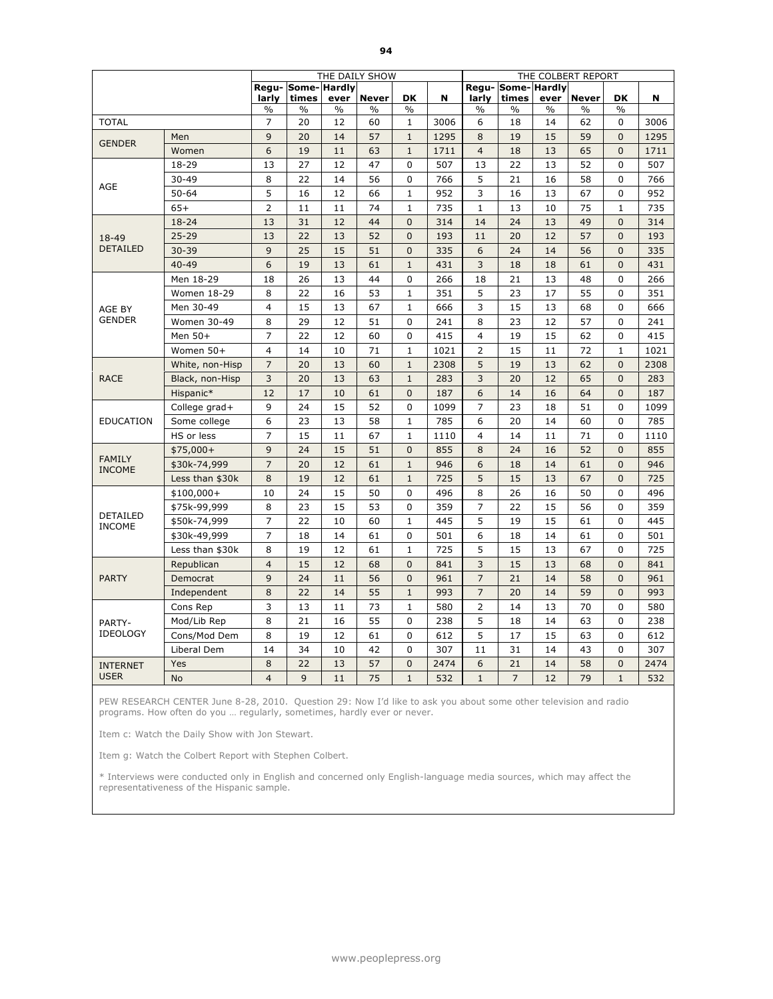|                                  |                    |                |                             |      | THE DAILY SHOW |                |      |                         |                           |      | THE COLBERT REPORT |                |      |
|----------------------------------|--------------------|----------------|-----------------------------|------|----------------|----------------|------|-------------------------|---------------------------|------|--------------------|----------------|------|
|                                  |                    | larly          | Regu- Some- Hardly<br>times | ever | <b>Never</b>   | DK             | N    | larly                   | Regu-Some-Hardly<br>times | ever | <b>Never</b>       | <b>DK</b>      | N    |
|                                  |                    | $\%$           | %                           | $\%$ | %              | $\%$           |      | $\frac{0}{0}$           | $\%$                      | $\%$ | $\%$               | $\frac{0}{0}$  |      |
| <b>TOTAL</b>                     |                    | 7              | 20                          | 12   | 60             | 1              | 3006 | 6                       | 18                        | 14   | 62                 | $\Omega$       | 3006 |
| <b>GENDER</b>                    | Men                | 9              | 20                          | 14   | 57             | $\mathbf 1$    | 1295 | 8                       | 19                        | 15   | 59                 | $\Omega$       | 1295 |
|                                  | Women              | 6              | 19                          | 11   | 63             | $\mathbf{1}$   | 1711 | $\overline{4}$          | 18                        | 13   | 65                 | $\mathbf{0}$   | 1711 |
|                                  | 18-29              | 13             | 27                          | 12   | 47             | 0              | 507  | 13                      | 22                        | 13   | 52                 | $\mathbf 0$    | 507  |
| AGE                              | $30 - 49$          | 8              | 22                          | 14   | 56             | 0              | 766  | 5                       | 21                        | 16   | 58                 | 0              | 766  |
|                                  | $50 - 64$          | 5              | 16                          | 12   | 66             | $\mathbf{1}$   | 952  | 3                       | 16                        | 13   | 67                 | $\mathbf 0$    | 952  |
|                                  | $65+$              | $\overline{2}$ | 11                          | 11   | 74             | $\mathbf{1}$   | 735  | $\mathbf{1}$            | 13                        | 10   | 75                 | $\mathbf{1}$   | 735  |
|                                  | $18 - 24$          | 13             | 31                          | 12   | 44             | $\overline{0}$ | 314  | 14                      | 24                        | 13   | 49                 | $\Omega$       | 314  |
| 18-49                            | $25 - 29$          | 13             | 22                          | 13   | 52             | $\overline{0}$ | 193  | 11                      | 20                        | 12   | 57                 | $\mathbf 0$    | 193  |
| <b>DETAILED</b>                  | $30 - 39$          | 9              | 25                          | 15   | 51             | $\overline{0}$ | 335  | 6                       | 24                        | 14   | 56                 | $\Omega$       | 335  |
|                                  | $40 - 49$          | 6              | 19                          | 13   | 61             | $\mathbf{1}$   | 431  | 3                       | 18                        | 18   | 61                 | $\mathbf{0}$   | 431  |
|                                  | Men 18-29          | 18             | 26                          | 13   | 44             | 0              | 266  | 18                      | 21                        | 13   | 48                 | $\Omega$       | 266  |
|                                  | <b>Women 18-29</b> | 8              | 22                          | 16   | 53             | $\mathbf{1}$   | 351  | 5                       | 23                        | 17   | 55                 | $\Omega$       | 351  |
| AGE BY                           | Men 30-49          | $\overline{4}$ | 15                          | 13   | 67             | 1              | 666  | 3                       | 15                        | 13   | 68                 | $\mathbf 0$    | 666  |
| <b>GENDER</b>                    | Women 30-49        | 8              | 29                          | 12   | 51             | 0              | 241  | 8                       | 23                        | 12   | 57                 | 0              | 241  |
|                                  | Men 50+            | $\overline{7}$ | 22                          | 12   | 60             | 0              | 415  | $\overline{\mathbf{4}}$ | 19                        | 15   | 62                 | $\Omega$       | 415  |
|                                  | Women 50+          | 4              | 14                          | 10   | 71             | $\mathbf{1}$   | 1021 | $\overline{2}$          | 15                        | 11   | 72                 | $\mathbf{1}$   | 1021 |
|                                  | White, non-Hisp    | $\overline{7}$ | 20                          | 13   | 60             | $\mathbf 1$    | 2308 | 5                       | 19                        | 13   | 62                 | $\Omega$       | 2308 |
| <b>RACE</b>                      | Black, non-Hisp    | 3              | 20                          | 13   | 63             | $\mathbf{1}$   | 283  | 3                       | 20                        | 12   | 65                 | $\mathbf{0}$   | 283  |
|                                  | Hispanic*          | 12             | 17                          | 10   | 61             | $\mathbf{0}$   | 187  | 6                       | 14                        | 16   | 64                 | $\mathbf{0}$   | 187  |
|                                  | College grad+      | 9              | 24                          | 15   | 52             | 0              | 1099 | 7                       | 23                        | 18   | 51                 | 0              | 1099 |
| <b>EDUCATION</b>                 | Some college       | 6              | 23                          | 13   | 58             | $\mathbf{1}$   | 785  | 6                       | 20                        | 14   | 60                 | $\mathbf 0$    | 785  |
|                                  | HS or less         | $\overline{7}$ | 15                          | 11   | 67             | $\mathbf 1$    | 1110 | $\overline{4}$          | 14                        | 11   | 71                 | 0              | 1110 |
|                                  | $$75,000+$         | 9              | 24                          | 15   | 51             | $\mathbf{0}$   | 855  | 8                       | 24                        | 16   | 52                 | $\overline{0}$ | 855  |
| <b>FAMILY</b><br><b>INCOME</b>   | \$30k-74,999       | $\overline{7}$ | 20                          | 12   | 61             | $\mathbf{1}$   | 946  | 6                       | 18                        | 14   | 61                 | $\mathbf{0}$   | 946  |
|                                  | Less than \$30k    | 8              | 19                          | 12   | 61             | $\mathbf{1}$   | 725  | 5                       | 15                        | 13   | 67                 | $\Omega$       | 725  |
|                                  | $$100,000+$        | 10             | 24                          | 15   | 50             | $\mathbf{0}$   | 496  | 8                       | 26                        | 16   | 50                 | $\Omega$       | 496  |
|                                  | \$75k-99,999       | 8              | 23                          | 15   | 53             | 0              | 359  | $\overline{7}$          | 22                        | 15   | 56                 | $\mathbf 0$    | 359  |
| <b>DETAILED</b><br><b>INCOME</b> | \$50k-74,999       | 7              | 22                          | 10   | 60             | $\mathbf{1}$   | 445  | 5                       | 19                        | 15   | 61                 | 0              | 445  |
|                                  | \$30k-49,999       | $\overline{7}$ | 18                          | 14   | 61             | 0              | 501  | 6                       | 18                        | 14   | 61                 | 0              | 501  |
|                                  | Less than \$30k    | 8              | 19                          | 12   | 61             | $\mathbf{1}$   | 725  | 5                       | 15                        | 13   | 67                 | $\Omega$       | 725  |
|                                  | Republican         | $\overline{4}$ | 15                          | 12   | 68             | $\mathbf 0$    | 841  | 3                       | 15                        | 13   | 68                 | $\Omega$       | 841  |
| <b>PARTY</b>                     | Democrat           | 9              | 24                          | 11   | 56             | $\overline{0}$ | 961  | $\overline{7}$          | 21                        | 14   | 58                 | $\mathbf{0}$   | 961  |
|                                  | Independent        | 8              | 22                          | 14   | 55             | $\mathbf{1}$   | 993  | $\overline{7}$          | 20                        | 14   | 59                 | $\mathbf{0}$   | 993  |
|                                  | Cons Rep           | 3              | 13                          | 11   | 73             | $\mathbf{1}$   | 580  | $\overline{2}$          | 14                        | 13   | 70                 | $\Omega$       | 580  |
| PARTY-                           | Mod/Lib Rep        | 8              | 21                          | 16   | 55             | 0              | 238  | 5                       | 18                        | 14   | 63                 | $\mathbf 0$    | 238  |
| <b>IDEOLOGY</b>                  | Cons/Mod Dem       | 8              | 19                          | 12   | 61             | 0              | 612  | 5                       | 17                        | 15   | 63                 | $\Omega$       | 612  |
|                                  | Liberal Dem        | 14             | 34                          | 10   | 42             | 0              | 307  | 11                      | 31                        | 14   | 43                 | 0              | 307  |
| <b>INTERNET</b>                  | Yes                | 8              | 22                          | 13   | 57             | $\overline{0}$ | 2474 | 6                       | 21                        | 14   | 58                 | $\mathbf{0}$   | 2474 |
| <b>USER</b>                      | <b>No</b>          | $\overline{4}$ | 9                           | 11   | 75             | $\mathbf{1}$   | 532  | $\mathbf{1}$            | $\overline{7}$            | 12   | 79                 | $\mathbf{1}$   | 532  |

Item c: Watch the Daily Show with Jon Stewart.

Item g: Watch the Colbert Report with Stephen Colbert.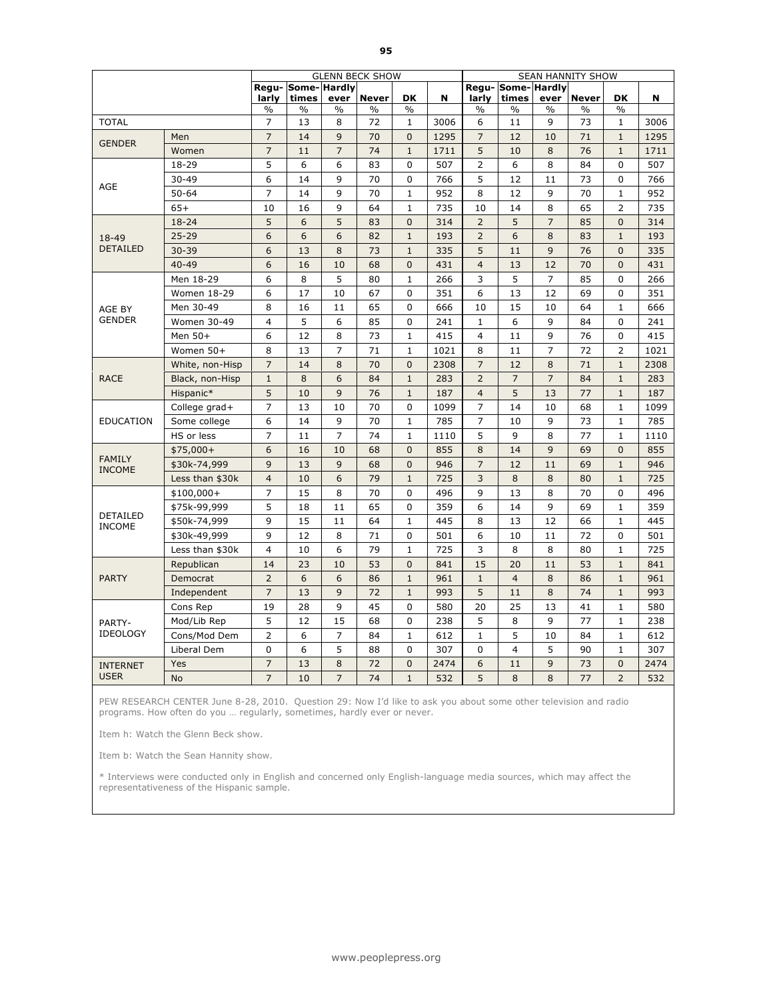|                                |                 |                |                             |                | <b>GLENN BECK SHOW</b> |                |      |                |                           |                | <b>SEAN HANNITY SHOW</b> |                |      |
|--------------------------------|-----------------|----------------|-----------------------------|----------------|------------------------|----------------|------|----------------|---------------------------|----------------|--------------------------|----------------|------|
|                                |                 | larly          | Regu- Some- Hardly<br>times | ever           | <b>Never</b>           | <b>DK</b>      | N    | larly          | Regu-Some-Hardly<br>times | ever           | <b>Never</b>             | <b>DK</b>      | N    |
|                                |                 | $\%$           | $\%$                        | $\frac{0}{0}$  | $\%$                   | $\frac{0}{0}$  |      | $\frac{0}{0}$  | $\%$                      | $\frac{0}{0}$  | $\%$                     | $\frac{0}{0}$  |      |
| <b>TOTAL</b>                   |                 | $\overline{7}$ | 13                          | 8              | 72                     | $\mathbf{1}$   | 3006 | 6              | 11                        | 9              | 73                       | $\mathbf{1}$   | 3006 |
| <b>GENDER</b>                  | Men             | $\overline{7}$ | 14                          | 9              | 70                     | $\mathbf{0}$   | 1295 | $\overline{7}$ | 12                        | 10             | 71                       | $\mathbf{1}$   | 1295 |
|                                | Women           | $\overline{7}$ | 11                          | $\overline{7}$ | 74                     | $\mathbf 1$    | 1711 | 5              | 10                        | 8              | 76                       | $\mathbf 1$    | 1711 |
|                                | 18-29           | 5              | 6                           | 6              | 83                     | 0              | 507  | $\overline{2}$ | 6                         | 8              | 84                       | $\mathbf 0$    | 507  |
| AGE                            | $30 - 49$       | 6              | 14                          | 9              | 70                     | 0              | 766  | 5              | 12                        | 11             | 73                       | $\mathbf 0$    | 766  |
|                                | $50 - 64$       | $\overline{7}$ | 14                          | 9              | 70                     | $\mathbf{1}$   | 952  | 8              | 12                        | 9              | 70                       | $\mathbf{1}$   | 952  |
|                                | $65+$           | 10             | 16                          | 9              | 64                     | $\mathbf{1}$   | 735  | 10             | 14                        | 8              | 65                       | $\overline{2}$ | 735  |
|                                | $18 - 24$       | 5              | 6                           | 5              | 83                     | $\mathbf{0}$   | 314  | $\overline{2}$ | 5                         | $\overline{7}$ | 85                       | $\overline{0}$ | 314  |
| 18-49                          | $25 - 29$       | 6              | 6                           | 6              | 82                     | $\mathbf{1}$   | 193  | $\overline{2}$ | 6                         | 8              | 83                       | $\mathbf{1}$   | 193  |
| <b>DETAILED</b>                | $30 - 39$       | 6              | 13                          | 8              | 73                     | $\mathbf{1}$   | 335  | 5              | 11                        | 9              | 76                       | $\Omega$       | 335  |
|                                | $40 - 49$       | 6              | 16                          | 10             | 68                     | $\overline{0}$ | 431  | $\overline{4}$ | 13                        | 12             | 70                       | $\overline{0}$ | 431  |
|                                | Men 18-29       | 6              | 8                           | 5              | 80                     | $\mathbf{1}$   | 266  | 3              | 5                         | $\overline{7}$ | 85                       | $\mathbf 0$    | 266  |
|                                | Women 18-29     | 6              | 17                          | 10             | 67                     | 0              | 351  | 6              | 13                        | 12             | 69                       | $\mathbf 0$    | 351  |
| AGE BY                         | Men 30-49       | 8              | 16                          | 11             | 65                     | 0              | 666  | 10             | 15                        | 10             | 64                       | $\mathbf{1}$   | 666  |
| <b>GENDER</b>                  | Women 30-49     | $\overline{4}$ | 5                           | 6              | 85                     | 0              | 241  | $\mathbf{1}$   | 6                         | 9              | 84                       | $\Omega$       | 241  |
|                                | Men 50+         | 6              | 12                          | 8              | 73                     | $\mathbf{1}$   | 415  | 4              | 11                        | 9              | 76                       | $\Omega$       | 415  |
|                                | Women 50+       | 8              | 13                          | $\overline{7}$ | 71                     | $\mathbf{1}$   | 1021 | 8              | 11                        | $\overline{7}$ | 72                       | $\overline{2}$ | 1021 |
|                                | White, non-Hisp | $\overline{7}$ | 14                          | 8              | 70                     | $\mathbf{0}$   | 2308 | $\overline{7}$ | 12                        | 8              | 71                       | $\mathbf{1}$   | 2308 |
| <b>RACE</b>                    | Black, non-Hisp | $\mathbf{1}$   | 8                           | 6              | 84                     | $\mathbf{1}$   | 283  | $\overline{2}$ | $\overline{7}$            | $\overline{7}$ | 84                       | $\mathbf{1}$   | 283  |
|                                | Hispanic*       | 5              | 10                          | 9              | 76                     | $\mathbf{1}$   | 187  | $\overline{4}$ | 5                         | 13             | 77                       | $\mathbf{1}$   | 187  |
|                                | College grad+   | $\overline{7}$ | 13                          | 10             | 70                     | 0              | 1099 | $\overline{7}$ | 14                        | 10             | 68                       | $\mathbf{1}$   | 1099 |
| <b>EDUCATION</b>               | Some college    | 6              | 14                          | 9              | 70                     | $\mathbf{1}$   | 785  | $\overline{7}$ | 10                        | 9              | 73                       | $\mathbf{1}$   | 785  |
|                                | HS or less      | $\overline{7}$ | 11                          | $\overline{7}$ | 74                     | $\mathbf{1}$   | 1110 | 5              | 9                         | 8              | 77                       | $\mathbf{1}$   | 1110 |
|                                | $$75,000+$      | 6              | 16                          | 10             | 68                     | $\mathbf{0}$   | 855  | 8              | 14                        | 9              | 69                       | $\Omega$       | 855  |
| <b>FAMILY</b><br><b>INCOME</b> | \$30k-74,999    | 9              | 13                          | 9              | 68                     | $\mathbf 0$    | 946  | $\overline{7}$ | 12                        | 11             | 69                       | $\mathbf{1}$   | 946  |
|                                | Less than \$30k | $\overline{4}$ | 10                          | 6              | 79                     | $1\,$          | 725  | 3              | 8                         | 8              | 80                       | $\mathbf{1}$   | 725  |
|                                | $$100,000+$     | $\overline{7}$ | 15                          | 8              | 70                     | 0              | 496  | 9              | 13                        | 8              | 70                       | 0              | 496  |
|                                | \$75k-99,999    | 5              | 18                          | 11             | 65                     | 0              | 359  | 6              | 14                        | 9              | 69                       | $\mathbf{1}$   | 359  |
| DETAILED<br><b>INCOME</b>      | \$50k-74,999    | 9              | 15                          | 11             | 64                     | $\mathbf 1$    | 445  | 8              | 13                        | 12             | 66                       | $\mathbf{1}$   | 445  |
|                                | \$30k-49,999    | 9              | 12                          | 8              | 71                     | 0              | 501  | 6              | 10                        | 11             | 72                       | 0              | 501  |
|                                | Less than \$30k | $\overline{4}$ | 10                          | 6              | 79                     | $\mathbf{1}$   | 725  | 3              | 8                         | 8              | 80                       | $\mathbf{1}$   | 725  |
|                                | Republican      | 14             | 23                          | 10             | 53                     | $\mathbf{0}$   | 841  | 15             | 20                        | 11             | 53                       | $\mathbf{1}$   | 841  |
| <b>PARTY</b>                   | Democrat        | $\overline{2}$ | 6                           | 6              | 86                     | $\mathbf 1$    | 961  | $\mathbf{1}$   | $\overline{4}$            | 8              | 86                       | $\mathbf 1$    | 961  |
|                                | Independent     | $\overline{7}$ | 13                          | 9              | 72                     | $\mathbf 1$    | 993  | 5              | 11                        | 8              | 74                       | $\mathbf{1}$   | 993  |
|                                | Cons Rep        | 19             | 28                          | 9              | 45                     | 0              | 580  | 20             | 25                        | 13             | 41                       | 1              | 580  |
| PARTY-                         | Mod/Lib Rep     | 5              | 12                          | 15             | 68                     | 0              | 238  | 5              | 8                         | 9              | 77                       | $\mathbf{1}$   | 238  |
| <b>IDEOLOGY</b>                | Cons/Mod Dem    | $\overline{2}$ | 6                           | $\overline{7}$ | 84                     | $\mathbf{1}$   | 612  | $\mathbf{1}$   | 5                         | 10             | 84                       | $\mathbf{1}$   | 612  |
|                                | Liberal Dem     | $\mathbf 0$    | 6                           | 5              | 88                     | $\mathbf 0$    | 307  | 0              | $\overline{4}$            | 5              | 90                       | $\mathbf{1}$   | 307  |
| <b>INTERNET</b>                | Yes             | $\overline{7}$ | 13                          | 8              | 72                     | $\mathbf{0}$   | 2474 | 6              | 11                        | 9              | 73                       | $\mathbf{0}$   | 2474 |
| <b>USER</b>                    | <b>No</b>       | $\overline{7}$ | 10                          | $\overline{7}$ | 74                     | $\mathbf{1}$   | 532  | 5              | 8                         | 8              | 77                       | $\overline{2}$ | 532  |

Item h: Watch the Glenn Beck show.

Item b: Watch the Sean Hannity show.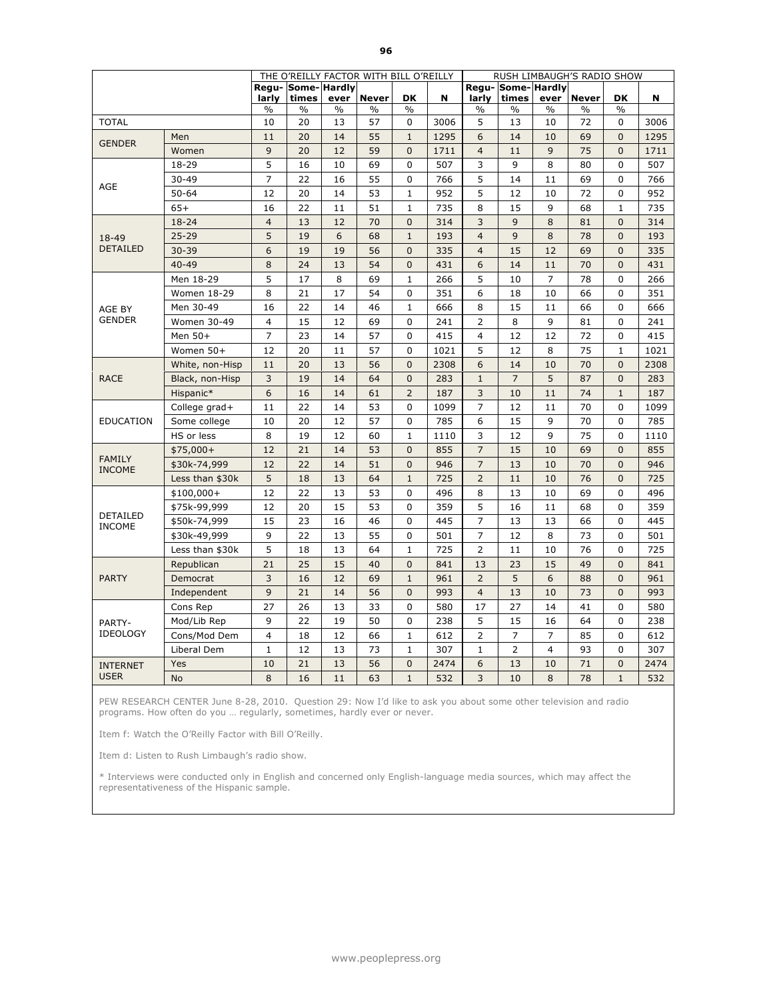|                           |                 | THE O'REILLY FACTOR WITH BILL O'REILLY |                             |               |               |                | RUSH LIMBAUGH'S RADIO SHOW |                |                           |                |              |                |      |
|---------------------------|-----------------|----------------------------------------|-----------------------------|---------------|---------------|----------------|----------------------------|----------------|---------------------------|----------------|--------------|----------------|------|
|                           |                 | larly                                  | Regu- Some- Hardly<br>times | ever          | <b>Never</b>  | <b>DK</b>      | N                          | larly          | Regu-Some-Hardly<br>times | ever           | <b>Never</b> | <b>DK</b>      | N    |
|                           |                 | $\%$                                   | $\frac{0}{0}$               | $\frac{0}{0}$ | $\frac{0}{0}$ | $\frac{0}{6}$  |                            | $\%$           | $\%$                      | $\frac{0}{0}$  | $\%$         | $\%$           |      |
| <b>TOTAL</b>              |                 | 10                                     | 20                          | 13            | 57            | 0              | 3006                       | 5              | 13                        | 10             | 72           | 0              | 3006 |
| <b>GENDER</b>             | Men             | 11                                     | 20                          | 14            | 55            | $\mathbf{1}$   | 1295                       | 6              | 14                        | 10             | 69           | $\mathbf{0}$   | 1295 |
|                           | Women           | 9                                      | 20                          | 12            | 59            | $\mathbf{0}$   | 1711                       | $\overline{4}$ | 11                        | 9              | 75           | $\mathbf{0}$   | 1711 |
|                           | 18-29           | 5                                      | 16                          | 10            | 69            | 0              | 507                        | 3              | 9                         | 8              | 80           | 0              | 507  |
| AGE                       | $30 - 49$       | $\overline{7}$                         | 22                          | 16            | 55            | 0              | 766                        | 5              | 14                        | 11             | 69           | 0              | 766  |
|                           | $50 - 64$       | 12                                     | 20                          | 14            | 53            | $\mathbf{1}$   | 952                        | 5              | 12                        | 10             | 72           | $\mathbf 0$    | 952  |
|                           | $65+$           | 16                                     | 22                          | 11            | 51            | $\mathbf{1}$   | 735                        | 8              | 15                        | 9              | 68           | $\mathbf{1}$   | 735  |
|                           | 18-24           | $\overline{4}$                         | 13                          | 12            | 70            | $\mathbf{0}$   | 314                        | 3              | 9                         | 8              | 81           | $\overline{0}$ | 314  |
| 18-49<br><b>DETAILED</b>  | $25 - 29$       | 5                                      | 19                          | 6             | 68            | $\mathbf{1}$   | 193                        | $\overline{4}$ | 9                         | 8              | 78           | $\mathbf{0}$   | 193  |
|                           | $30 - 39$       | 6                                      | 19                          | 19            | 56            | $\mathbf{0}$   | 335                        | $\overline{4}$ | 15                        | 12             | 69           | $\mathbf{0}$   | 335  |
|                           | $40 - 49$       | 8                                      | 24                          | 13            | 54            | $\mathbf{0}$   | 431                        | 6              | 14                        | 11             | 70           | $\mathbf{0}$   | 431  |
|                           | Men 18-29       | 5                                      | 17                          | 8             | 69            | $\mathbf{1}$   | 266                        | 5              | 10                        | $\overline{7}$ | 78           | 0              | 266  |
|                           | Women 18-29     | 8                                      | 21                          | 17            | 54            | 0              | 351                        | 6              | 18                        | 10             | 66           | $\mathbf 0$    | 351  |
| AGE BY                    | Men 30-49       | 16                                     | 22                          | 14            | 46            | $\mathbf{1}$   | 666                        | 8              | 15                        | 11             | 66           | $\mathbf 0$    | 666  |
| <b>GENDER</b>             | Women 30-49     | $\overline{\mathbf{4}}$                | 15                          | 12            | 69            | $\mathbf 0$    | 241                        | $\overline{2}$ | 8                         | 9              | 81           | $\mathbf 0$    | 241  |
|                           | Men 50+         | $\overline{7}$                         | 23                          | 14            | 57            | $\mathbf 0$    | 415                        | 4              | 12                        | 12             | 72           | 0              | 415  |
|                           | Women 50+       | 12                                     | 20                          | 11            | 57            | $\mathbf 0$    | 1021                       | 5              | 12                        | 8              | 75           | $\mathbf{1}$   | 1021 |
|                           | White, non-Hisp | 11                                     | 20                          | 13            | 56            | $\mathbf{0}$   | 2308                       | 6              | 14                        | 10             | 70           | $\mathbf{0}$   | 2308 |
| <b>RACE</b>               | Black, non-Hisp | 3                                      | 19                          | 14            | 64            | $\mathbf{0}$   | 283                        | $\mathbf{1}$   | $\overline{7}$            | 5              | 87           | $\mathbf{0}$   | 283  |
|                           | Hispanic*       | 6                                      | 16                          | 14            | 61            | $\overline{2}$ | 187                        | 3              | 10                        | 11             | 74           | $\mathbf{1}$   | 187  |
|                           | College grad+   | 11                                     | 22                          | 14            | 53            | $\mathbf{0}$   | 1099                       | $\overline{7}$ | 12                        | 11             | 70           | $\Omega$       | 1099 |
| <b>EDUCATION</b>          | Some college    | 10                                     | 20                          | 12            | 57            | 0              | 785                        | 6              | 15                        | 9              | 70           | $\mathbf 0$    | 785  |
|                           | HS or less      | 8                                      | 19                          | 12            | 60            | $\mathbf{1}$   | 1110                       | 3              | 12                        | 9              | 75           | $\mathbf 0$    | 1110 |
| <b>FAMILY</b>             | $$75,000+$      | 12                                     | 21                          | 14            | 53            | $\mathbf{0}$   | 855                        | $\overline{7}$ | 15                        | 10             | 69           | $\overline{0}$ | 855  |
| <b>INCOME</b>             | \$30k-74,999    | 12                                     | 22                          | 14            | 51            | $\overline{0}$ | 946                        | $\overline{7}$ | 13                        | 10             | 70           | $\Omega$       | 946  |
|                           | Less than \$30k | 5                                      | 18                          | 13            | 64            | $\mathbf{1}$   | 725                        | $\overline{2}$ | 11                        | 10             | 76           | $\mathbf{0}$   | 725  |
|                           | $$100,000+$     | 12                                     | 22                          | 13            | 53            | 0              | 496                        | 8              | 13                        | 10             | 69           | $\Omega$       | 496  |
|                           | \$75k-99,999    | 12                                     | 20                          | 15            | 53            | 0              | 359                        | 5              | 16                        | 11             | 68           | $\Omega$       | 359  |
| DETAILED<br><b>INCOME</b> | \$50k-74,999    | 15                                     | 23                          | 16            | 46            | $\mathbf 0$    | 445                        | $\overline{7}$ | 13                        | 13             | 66           | 0              | 445  |
|                           | \$30k-49,999    | 9                                      | 22                          | 13            | 55            | 0              | 501                        | $\overline{7}$ | 12                        | 8              | 73           | 0              | 501  |
|                           | Less than \$30k | 5                                      | 18                          | 13            | 64            | $\mathbf{1}$   | 725                        | $\overline{2}$ | 11                        | 10             | 76           | $\Omega$       | 725  |
|                           | Republican      | 21                                     | 25                          | 15            | 40            | $\mathbf{0}$   | 841                        | 13             | 23                        | 15             | 49           | $\overline{0}$ | 841  |
| <b>PARTY</b>              | Democrat        | 3                                      | 16                          | 12            | 69            | $\mathbf{1}$   | 961                        | $\overline{2}$ | 5                         | 6              | 88           | $\mathbf{0}$   | 961  |
|                           | Independent     | 9                                      | 21                          | 14            | 56            | $\mathbf{0}$   | 993                        | $\overline{4}$ | 13                        | 10             | 73           | $\mathbf{0}$   | 993  |
|                           | Cons Rep        | 27                                     | 26                          | 13            | 33            | $\mathbf{0}$   | 580                        | 17             | 27                        | 14             | 41           | $\Omega$       | 580  |
| PARTY-                    | Mod/Lib Rep     | 9                                      | 22                          | 19            | 50            | 0              | 238                        | 5              | 15                        | 16             | 64           | 0              | 238  |
| <b>IDEOLOGY</b>           | Cons/Mod Dem    | 4                                      | 18                          | 12            | 66            | $\mathbf{1}$   | 612                        | $\overline{2}$ | 7                         | $\overline{7}$ | 85           | $\mathbf 0$    | 612  |
|                           | Liberal Dem     | $\mathbf 1$                            | 12                          | 13            | 73            | $\mathbf{1}$   | 307                        | $\mathbf{1}$   | $\overline{2}$            | $\overline{4}$ | 93           | $\mathbf 0$    | 307  |
| <b>INTERNET</b>           | Yes             | 10                                     | 21                          | 13            | 56            | $\mathbf{0}$   | 2474                       | 6              | 13                        | 10             | 71           | $\mathbf{0}$   | 2474 |
| <b>USER</b>               | <b>No</b>       | 8                                      | 16                          | 11            | 63            | $\mathbf{1}$   | 532                        | 3              | 10                        | 8              | 78           | $\mathbf{1}$   | 532  |

Item f: Watch the O'Reilly Factor with Bill O'Reilly.

Item d: Listen to Rush Limbaugh's radio show.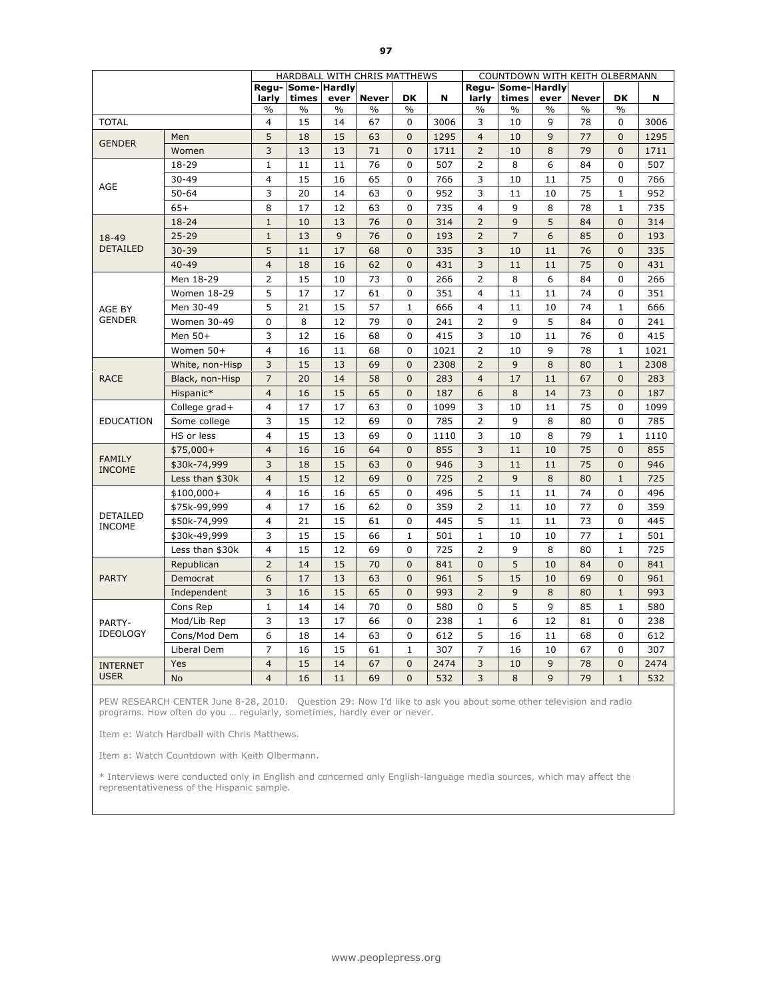|                                  |                 |                | HARDBALL WITH CHRIS MATTHEWS |                       |                               |                            |      | COUNTDOWN WITH KEITH OLBERMANN |                        |                       |                               |                            |      |
|----------------------------------|-----------------|----------------|------------------------------|-----------------------|-------------------------------|----------------------------|------|--------------------------------|------------------------|-----------------------|-------------------------------|----------------------------|------|
|                                  |                 |                | Regu- Some- Hardly           |                       |                               |                            |      |                                | Regu-Some-Hardly       |                       |                               |                            |      |
|                                  |                 | larly<br>$\%$  | times<br>$\%$                | ever<br>$\frac{0}{0}$ | <b>Never</b><br>$\frac{0}{0}$ | <b>DK</b><br>$\frac{0}{0}$ | N    | larly<br>$\frac{0}{0}$         | times<br>$\frac{0}{0}$ | ever<br>$\frac{0}{0}$ | <b>Never</b><br>$\frac{0}{0}$ | <b>DK</b><br>$\frac{0}{0}$ | N    |
| <b>TOTAL</b>                     |                 | 4              | 15                           | 14                    | 67                            | 0                          | 3006 | 3                              | 10                     | 9                     | 78                            | 0                          | 3006 |
|                                  | Men             | 5              | 18                           | 15                    | 63                            | $\overline{0}$             | 1295 | $\overline{4}$                 | 10                     | 9                     | 77                            | $\mathbf{0}$               | 1295 |
| <b>GENDER</b>                    | Women           | $\mathsf 3$    | 13                           | 13                    | 71                            | $\mathbf{0}$               | 1711 | $\overline{2}$                 | 10                     | 8                     | 79                            | $\Omega$                   | 1711 |
|                                  | 18-29           | $\mathbf 1$    | 11                           | 11                    | 76                            | 0                          | 507  | $\overline{2}$                 | 8                      | 6                     | 84                            | 0                          | 507  |
|                                  | $30 - 49$       | $\overline{4}$ | 15                           | 16                    | 65                            | 0                          | 766  | 3                              | 10                     | 11                    | 75                            | 0                          | 766  |
| AGE                              | $50 - 64$       | 3              | 20                           | 14                    | 63                            | 0                          | 952  | 3                              | 11                     | 10                    | 75                            | $\mathbf{1}$               | 952  |
|                                  | $65+$           | 8              | 17                           | 12                    | 63                            | $\mathbf 0$                | 735  | $\overline{4}$                 | 9                      | 8                     | 78                            | $\mathbf{1}$               | 735  |
|                                  | $18 - 24$       | $\mathbf{1}$   | 10                           | 13                    | 76                            | $\overline{0}$             | 314  | $\overline{2}$                 | 9                      | 5                     | 84                            | $\Omega$                   | 314  |
| 18-49                            | $25 - 29$       | $\mathbf{1}$   | 13                           | $\overline{9}$        | 76                            | $\mathbf{0}$               | 193  | $\overline{2}$                 | $\overline{7}$         | 6                     | 85                            | $\mathbf{0}$               | 193  |
| <b>DETAILED</b>                  | $30 - 39$       | 5              | 11                           | 17                    | 68                            | $\overline{0}$             | 335  | 3                              | 10                     | 11                    | 76                            | $\mathbf{0}$               | 335  |
|                                  | $40 - 49$       | $\overline{4}$ | 18                           | 16                    | 62                            | $\mathbf{0}$               | 431  | 3                              | 11                     | 11                    | 75                            | $\mathbf{0}$               | 431  |
|                                  | Men 18-29       | $\overline{2}$ | 15                           | 10                    | 73                            | $\Omega$                   | 266  | $\overline{2}$                 | 8                      | 6                     | 84                            | $\Omega$                   | 266  |
|                                  | Women 18-29     | 5              | 17                           | 17                    | 61                            | $\Omega$                   | 351  | $\overline{4}$                 | 11                     | 11                    | 74                            | 0                          | 351  |
| AGE BY                           | Men 30-49       | 5              | 21                           | 15                    | 57                            | $\mathbf 1$                | 666  | $\overline{4}$                 | 11                     | 10                    | 74                            | $\mathbf{1}$               | 666  |
| <b>GENDER</b>                    | Women 30-49     | 0              | 8                            | 12                    | 79                            | 0                          | 241  | $\overline{2}$                 | 9                      | 5                     | 84                            | 0                          | 241  |
|                                  | Men 50+         | 3              | 12                           | 16                    | 68                            | 0                          | 415  | 3                              | 10                     | 11                    | 76                            | $\Omega$                   | 415  |
|                                  | Women 50+       | $\overline{4}$ | 16                           | 11                    | 68                            | 0                          | 1021 | $\overline{2}$                 | 10                     | 9                     | 78                            | $\mathbf{1}$               | 1021 |
|                                  | White, non-Hisp | 3              | 15                           | 13                    | 69                            | $\mathbf 0$                | 2308 | $\overline{2}$                 | 9                      | 8                     | 80                            | $\mathbf{1}$               | 2308 |
| <b>RACE</b>                      | Black, non-Hisp | $\overline{7}$ | 20                           | 14                    | 58                            | $\mathbf{0}$               | 283  | $\overline{4}$                 | 17                     | 11                    | 67                            | $\mathbf{0}$               | 283  |
|                                  | Hispanic*       | $\overline{4}$ | 16                           | 15                    | 65                            | $\overline{0}$             | 187  | 6                              | 8                      | 14                    | 73                            | $\mathbf{0}$               | 187  |
|                                  | College grad+   | $\overline{4}$ | 17                           | 17                    | 63                            | 0                          | 1099 | 3                              | 10                     | 11                    | 75                            | 0                          | 1099 |
| <b>EDUCATION</b>                 | Some college    | 3              | 15                           | 12                    | 69                            | $\mathbf{0}$               | 785  | $\overline{2}$                 | 9                      | 8                     | 80                            | $\Omega$                   | 785  |
|                                  | HS or less      | $\overline{4}$ | 15                           | 13                    | 69                            | 0                          | 1110 | 3                              | 10                     | 8                     | 79                            | $\mathbf{1}$               | 1110 |
|                                  | $$75,000+$      | $\overline{4}$ | 16                           | 16                    | 64                            | 0                          | 855  | 3                              | 11                     | 10                    | 75                            | $\mathbf{0}$               | 855  |
| <b>FAMILY</b><br><b>INCOME</b>   | \$30k-74,999    | 3              | 18                           | 15                    | 63                            | $\mathbf{0}$               | 946  | 3                              | 11                     | 11                    | 75                            | $\Omega$                   | 946  |
|                                  | Less than \$30k | $\overline{4}$ | 15                           | 12                    | 69                            | $\mathbf{0}$               | 725  | $\overline{2}$                 | 9                      | 8                     | 80                            | $\mathbf{1}$               | 725  |
| <b>DETAILED</b><br><b>INCOME</b> | $$100,000+$     | $\overline{4}$ | 16                           | 16                    | 65                            | $\Omega$                   | 496  | 5                              | 11                     | 11                    | 74                            | $\Omega$                   | 496  |
|                                  | \$75k-99,999    | 4              | 17                           | 16                    | 62                            | 0                          | 359  | 2                              | 11                     | 10                    | 77                            | 0                          | 359  |
|                                  | \$50k-74,999    | 4              | 21                           | 15                    | 61                            | 0                          | 445  | 5                              | 11                     | 11                    | 73                            | 0                          | 445  |
|                                  | \$30k-49,999    | 3              | 15                           | 15                    | 66                            | $\mathbf 1$                | 501  | $\mathbf{1}$                   | 10                     | 10                    | 77                            | $\mathbf{1}$               | 501  |
|                                  | Less than \$30k | $\overline{4}$ | 15                           | 12                    | 69                            | 0                          | 725  | $\overline{2}$                 | 9                      | 8                     | 80                            | $\mathbf{1}$               | 725  |
|                                  | Republican      | $\overline{2}$ | 14                           | 15                    | 70                            | $\overline{0}$             | 841  | $\overline{0}$                 | 5                      | 10                    | 84                            | $\mathbf{0}$               | 841  |
| <b>PARTY</b>                     | Democrat        | 6              | 17                           | 13                    | 63                            | $\mathbf{0}$               | 961  | 5                              | 15                     | 10                    | 69                            | $\mathbf{0}$               | 961  |
|                                  | Independent     | 3              | 16                           | 15                    | 65                            | $\mathbf 0$                | 993  | $\overline{2}$                 | 9                      | 8                     | 80                            | $\mathbf{1}$               | 993  |
|                                  | Cons Rep        | $\mathbf{1}$   | 14                           | 14                    | 70                            | 0                          | 580  | 0                              | 5                      | 9                     | 85                            | $\mathbf{1}$               | 580  |
| PARTY-                           | Mod/Lib Rep     | 3              | 13                           | 17                    | 66                            | 0                          | 238  | $\mathbf{1}$                   | 6                      | 12                    | 81                            | $\mathbf 0$                | 238  |
| <b>IDEOLOGY</b>                  | Cons/Mod Dem    | 6              | 18                           | 14                    | 63                            | 0                          | 612  | 5                              | 16                     | 11                    | 68                            | 0                          | 612  |
|                                  | Liberal Dem     | $\overline{7}$ | 16                           | 15                    | 61                            | $\mathbf 1$                | 307  | $\overline{7}$                 | 16                     | 10                    | 67                            | $\mathbf 0$                | 307  |
| <b>INTERNET</b>                  | Yes             | $\overline{4}$ | 15                           | 14                    | 67                            | $\overline{0}$             | 2474 | 3                              | 10                     | 9                     | 78                            | $\mathbf{0}$               | 2474 |
| <b>USER</b>                      | <b>No</b>       | $\overline{4}$ | 16                           | 11                    | 69                            | $\overline{0}$             | 532  | 3                              | 8                      | 9                     | 79                            | $\mathbf{1}$               | 532  |

Item e: Watch Hardball with Chris Matthews.

Item a: Watch Countdown with Keith Olbermann.